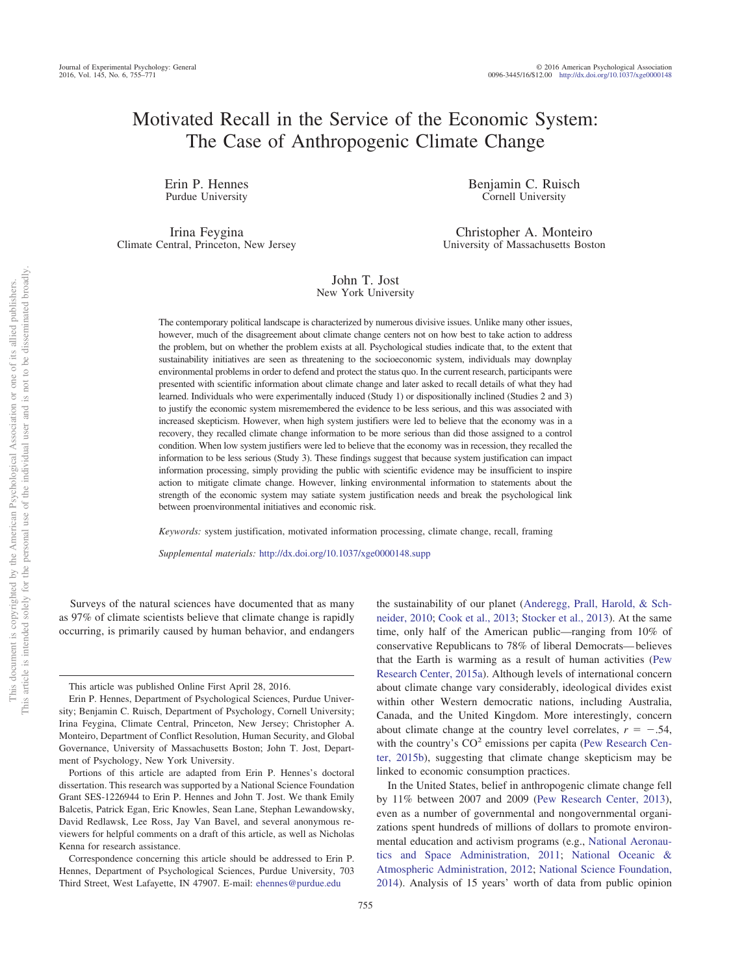# Motivated Recall in the Service of the Economic System: The Case of Anthropogenic Climate Change

Erin P. Hennes Purdue University

Irina Feygina Climate Central, Princeton, New Jersey Benjamin C. Ruisch Cornell University

Christopher A. Monteiro University of Massachusetts Boston

## John T. Jost New York University

The contemporary political landscape is characterized by numerous divisive issues. Unlike many other issues, however, much of the disagreement about climate change centers not on how best to take action to address the problem, but on whether the problem exists at all. Psychological studies indicate that, to the extent that sustainability initiatives are seen as threatening to the socioeconomic system, individuals may downplay environmental problems in order to defend and protect the status quo. In the current research, participants were presented with scientific information about climate change and later asked to recall details of what they had learned. Individuals who were experimentally induced (Study 1) or dispositionally inclined (Studies 2 and 3) to justify the economic system misremembered the evidence to be less serious, and this was associated with increased skepticism. However, when high system justifiers were led to believe that the economy was in a recovery, they recalled climate change information to be more serious than did those assigned to a control condition. When low system justifiers were led to believe that the economy was in recession, they recalled the information to be less serious (Study 3). These findings suggest that because system justification can impact information processing, simply providing the public with scientific evidence may be insufficient to inspire action to mitigate climate change. However, linking environmental information to statements about the strength of the economic system may satiate system justification needs and break the psychological link between proenvironmental initiatives and economic risk.

*Keywords:* system justification, motivated information processing, climate change, recall, framing

*Supplemental materials:* http://dx.doi.org[/10.1037/xge0000148.supp](http://dx.doi.org/10.1037/xge0000148.supp)

Surveys of the natural sciences have documented that as many as 97% of climate scientists believe that climate change is rapidly occurring, is primarily caused by human behavior, and endangers

This article was published Online First April 28, 2016.

the sustainability of our planet [\(Anderegg, Prall, Harold, & Sch](#page-12-0)[neider, 2010;](#page-12-0) [Cook et al., 2013;](#page-12-1) [Stocker et al., 2013\)](#page-14-0). At the same time, only half of the American public—ranging from 10% of conservative Republicans to 78% of liberal Democrats— believes that the Earth is warming as a result of human activities [\(Pew](#page-13-0) [Research Center, 2015a\)](#page-13-0). Although levels of international concern about climate change vary considerably, ideological divides exist within other Western democratic nations, including Australia, Canada, and the United Kingdom. More interestingly, concern about climate change at the country level correlates,  $r = -.54$ , with the country's  $CO<sup>2</sup>$  emissions per capita [\(Pew Research Cen](#page-13-1)[ter, 2015b\)](#page-13-1), suggesting that climate change skepticism may be linked to economic consumption practices.

In the United States, belief in anthropogenic climate change fell by 11% between 2007 and 2009 [\(Pew Research Center, 2013\)](#page-13-2), even as a number of governmental and nongovernmental organizations spent hundreds of millions of dollars to promote environmental education and activism programs (e.g., [National Aeronau](#page-13-3)[tics and Space Administration, 2011;](#page-13-3) [National Oceanic &](#page-13-4) [Atmospheric Administration, 2012;](#page-13-4) [National Science Foundation,](#page-13-5) [2014\)](#page-13-5). Analysis of 15 years' worth of data from public opinion

Erin P. Hennes, Department of Psychological Sciences, Purdue University; Benjamin C. Ruisch, Department of Psychology, Cornell University; Irina Feygina, Climate Central, Princeton, New Jersey; Christopher A. Monteiro, Department of Conflict Resolution, Human Security, and Global Governance, University of Massachusetts Boston; John T. Jost, Department of Psychology, New York University.

Portions of this article are adapted from Erin P. Hennes's doctoral dissertation. This research was supported by a National Science Foundation Grant SES-1226944 to Erin P. Hennes and John T. Jost. We thank Emily Balcetis, Patrick Egan, Eric Knowles, Sean Lane, Stephan Lewandowsky, David Redlawsk, Lee Ross, Jay Van Bavel, and several anonymous reviewers for helpful comments on a draft of this article, as well as Nicholas Kenna for research assistance.

Correspondence concerning this article should be addressed to Erin P. Hennes, Department of Psychological Sciences, Purdue University, 703 Third Street, West Lafayette, IN 47907. E-mail: [ehennes@purdue.edu](mailto:ehennes@purdue.edu)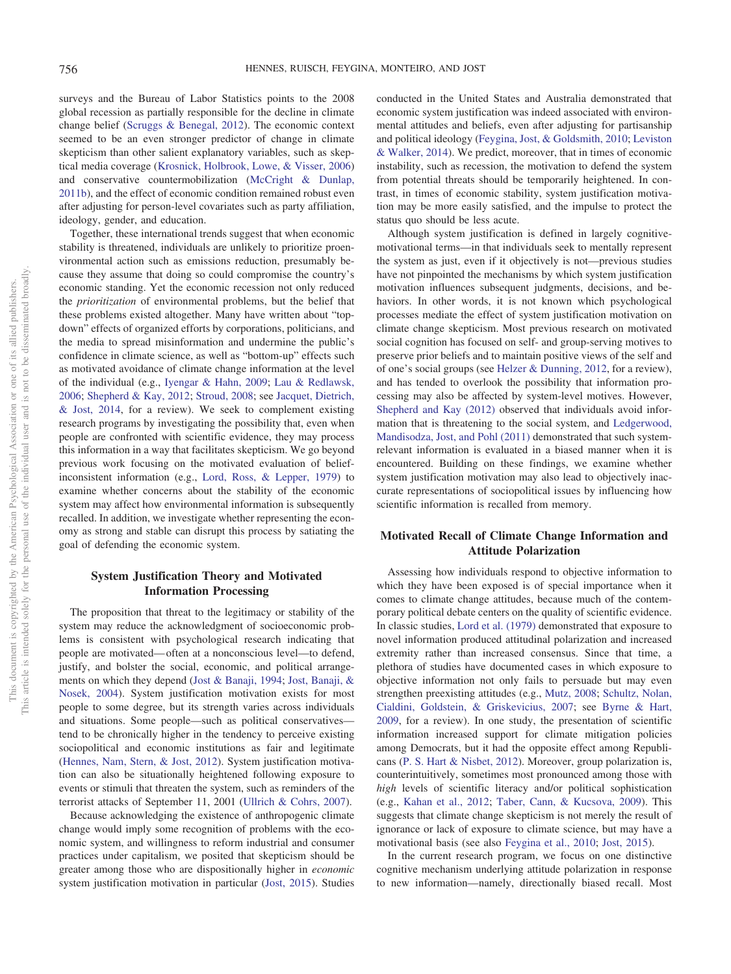surveys and the Bureau of Labor Statistics points to the 2008 global recession as partially responsible for the decline in climate change belief [\(Scruggs & Benegal, 2012\)](#page-13-6). The economic context seemed to be an even stronger predictor of change in climate skepticism than other salient explanatory variables, such as skeptical media coverage [\(Krosnick, Holbrook, Lowe, & Visser, 2006\)](#page-13-7) and conservative countermobilization [\(McCright & Dunlap,](#page-13-8) [2011b\)](#page-13-8), and the effect of economic condition remained robust even after adjusting for person-level covariates such as party affiliation, ideology, gender, and education.

Together, these international trends suggest that when economic stability is threatened, individuals are unlikely to prioritize proenvironmental action such as emissions reduction, presumably because they assume that doing so could compromise the country's economic standing. Yet the economic recession not only reduced the *prioritization* of environmental problems, but the belief that these problems existed altogether. Many have written about "topdown" effects of organized efforts by corporations, politicians, and the media to spread misinformation and undermine the public's confidence in climate science, as well as "bottom-up" effects such as motivated avoidance of climate change information at the level of the individual (e.g., [Iyengar & Hahn, 2009;](#page-12-2) [Lau & Redlawsk,](#page-13-9) [2006;](#page-13-9) [Shepherd & Kay, 2012;](#page-13-10) [Stroud, 2008;](#page-14-1) see [Jacquet, Dietrich,](#page-12-3) [& Jost, 2014,](#page-12-3) for a review). We seek to complement existing research programs by investigating the possibility that, even when people are confronted with scientific evidence, they may process this information in a way that facilitates skepticism. We go beyond previous work focusing on the motivated evaluation of beliefinconsistent information (e.g., [Lord, Ross, & Lepper, 1979\)](#page-13-11) to examine whether concerns about the stability of the economic system may affect how environmental information is subsequently recalled. In addition, we investigate whether representing the economy as strong and stable can disrupt this process by satiating the goal of defending the economic system.

# **System Justification Theory and Motivated Information Processing**

The proposition that threat to the legitimacy or stability of the system may reduce the acknowledgment of socioeconomic problems is consistent with psychological research indicating that people are motivated— often at a nonconscious level—to defend, justify, and bolster the social, economic, and political arrangements on which they depend [\(Jost & Banaji, 1994;](#page-12-4) [Jost, Banaji, &](#page-12-5) [Nosek, 2004\)](#page-12-5). System justification motivation exists for most people to some degree, but its strength varies across individuals and situations. Some people—such as political conservatives tend to be chronically higher in the tendency to perceive existing sociopolitical and economic institutions as fair and legitimate [\(Hennes, Nam, Stern, & Jost, 2012\)](#page-12-6). System justification motivation can also be situationally heightened following exposure to events or stimuli that threaten the system, such as reminders of the terrorist attacks of September 11, 2001 [\(Ullrich & Cohrs, 2007\)](#page-14-2).

Because acknowledging the existence of anthropogenic climate change would imply some recognition of problems with the economic system, and willingness to reform industrial and consumer practices under capitalism, we posited that skepticism should be greater among those who are dispositionally higher in *economic* system justification motivation in particular [\(Jost, 2015\)](#page-12-7). Studies conducted in the United States and Australia demonstrated that economic system justification was indeed associated with environmental attitudes and beliefs, even after adjusting for partisanship and political ideology [\(Feygina, Jost, & Goldsmith, 2010;](#page-12-8) [Leviston](#page-13-12) [& Walker, 2014\)](#page-13-12). We predict, moreover, that in times of economic instability, such as recession, the motivation to defend the system from potential threats should be temporarily heightened. In contrast, in times of economic stability, system justification motivation may be more easily satisfied, and the impulse to protect the status quo should be less acute.

Although system justification is defined in largely cognitivemotivational terms—in that individuals seek to mentally represent the system as just, even if it objectively is not—previous studies have not pinpointed the mechanisms by which system justification motivation influences subsequent judgments, decisions, and behaviors. In other words, it is not known which psychological processes mediate the effect of system justification motivation on climate change skepticism. Most previous research on motivated social cognition has focused on self- and group-serving motives to preserve prior beliefs and to maintain positive views of the self and of one's social groups (see [Helzer & Dunning, 2012,](#page-12-9) for a review), and has tended to overlook the possibility that information processing may also be affected by system-level motives. However, [Shepherd and Kay \(2012\)](#page-13-10) observed that individuals avoid information that is threatening to the social system, and [Ledgerwood,](#page-13-13) [Mandisodza, Jost, and Pohl \(2011\)](#page-13-13) demonstrated that such systemrelevant information is evaluated in a biased manner when it is encountered. Building on these findings, we examine whether system justification motivation may also lead to objectively inaccurate representations of sociopolitical issues by influencing how scientific information is recalled from memory.

# **Motivated Recall of Climate Change Information and Attitude Polarization**

Assessing how individuals respond to objective information to which they have been exposed is of special importance when it comes to climate change attitudes, because much of the contemporary political debate centers on the quality of scientific evidence. In classic studies, [Lord et al. \(1979\)](#page-13-11) demonstrated that exposure to novel information produced attitudinal polarization and increased extremity rather than increased consensus. Since that time, a plethora of studies have documented cases in which exposure to objective information not only fails to persuade but may even strengthen preexisting attitudes (e.g., [Mutz, 2008;](#page-13-14) [Schultz, Nolan,](#page-13-15) [Cialdini, Goldstein, & Griskevicius, 2007;](#page-13-15) see [Byrne & Hart,](#page-12-10) [2009,](#page-12-10) for a review). In one study, the presentation of scientific information increased support for climate mitigation policies among Democrats, but it had the opposite effect among Republicans [\(P. S. Hart & Nisbet, 2012\)](#page-12-11). Moreover, group polarization is, counterintuitively, sometimes most pronounced among those with *high* levels of scientific literacy and/or political sophistication (e.g., [Kahan et al., 2012;](#page-13-16) [Taber, Cann, & Kucsova, 2009\)](#page-14-3). This suggests that climate change skepticism is not merely the result of ignorance or lack of exposure to climate science, but may have a motivational basis (see also [Feygina et al., 2010;](#page-12-8) [Jost, 2015\)](#page-12-7).

In the current research program, we focus on one distinctive cognitive mechanism underlying attitude polarization in response to new information—namely, directionally biased recall. Most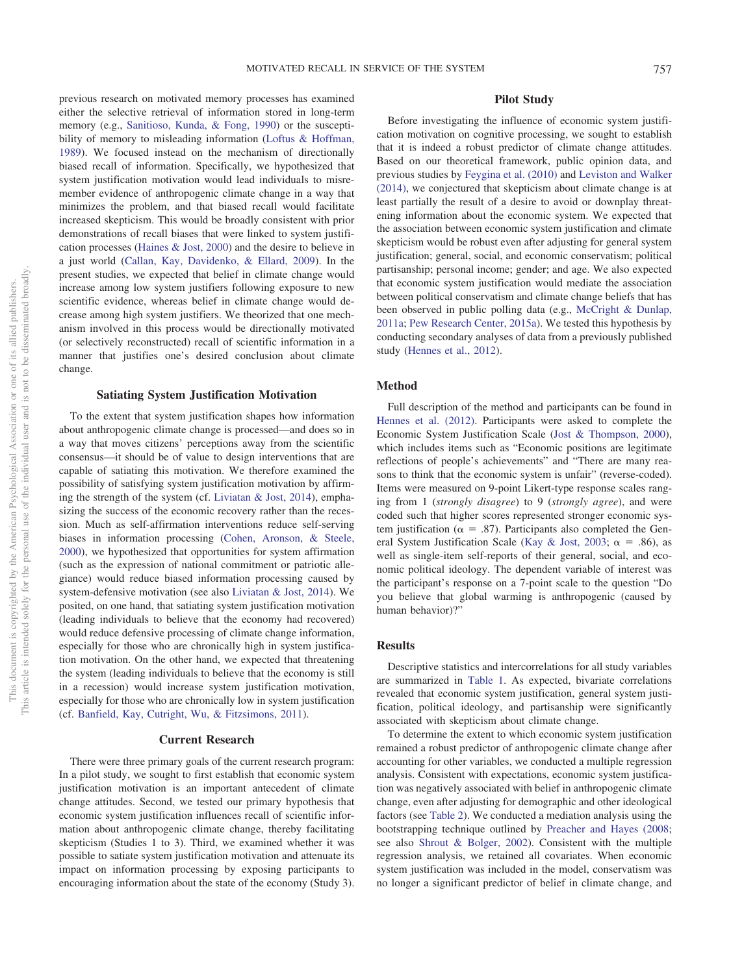previous research on motivated memory processes has examined either the selective retrieval of information stored in long-term memory (e.g., [Sanitioso, Kunda, & Fong, 1990\)](#page-13-17) or the suscepti-bility of memory to misleading information [\(Loftus & Hoffman,](#page-13-18) [1989\)](#page-13-18). We focused instead on the mechanism of directionally biased recall of information. Specifically, we hypothesized that system justification motivation would lead individuals to misremember evidence of anthropogenic climate change in a way that minimizes the problem, and that biased recall would facilitate increased skepticism. This would be broadly consistent with prior demonstrations of recall biases that were linked to system justification processes [\(Haines & Jost, 2000\)](#page-12-12) and the desire to believe in a just world [\(Callan, Kay, Davidenko, & Ellard, 2009\)](#page-12-13). In the present studies, we expected that belief in climate change would increase among low system justifiers following exposure to new scientific evidence, whereas belief in climate change would decrease among high system justifiers. We theorized that one mechanism involved in this process would be directionally motivated (or selectively reconstructed) recall of scientific information in a manner that justifies one's desired conclusion about climate change.

#### **Satiating System Justification Motivation**

To the extent that system justification shapes how information about anthropogenic climate change is processed—and does so in a way that moves citizens' perceptions away from the scientific consensus—it should be of value to design interventions that are capable of satiating this motivation. We therefore examined the possibility of satisfying system justification motivation by affirming the strength of the system (cf. [Liviatan & Jost, 2014\)](#page-13-19), emphasizing the success of the economic recovery rather than the recession. Much as self-affirmation interventions reduce self-serving biases in information processing [\(Cohen, Aronson, & Steele,](#page-12-14) [2000\)](#page-12-14), we hypothesized that opportunities for system affirmation (such as the expression of national commitment or patriotic allegiance) would reduce biased information processing caused by system-defensive motivation (see also [Liviatan & Jost, 2014\)](#page-13-19). We posited, on one hand, that satiating system justification motivation (leading individuals to believe that the economy had recovered) would reduce defensive processing of climate change information, especially for those who are chronically high in system justification motivation. On the other hand, we expected that threatening the system (leading individuals to believe that the economy is still in a recession) would increase system justification motivation, especially for those who are chronically low in system justification (cf. [Banfield, Kay, Cutright, Wu, & Fitzsimons, 2011\)](#page-12-15).

## **Current Research**

There were three primary goals of the current research program: In a pilot study, we sought to first establish that economic system justification motivation is an important antecedent of climate change attitudes. Second, we tested our primary hypothesis that economic system justification influences recall of scientific information about anthropogenic climate change, thereby facilitating skepticism (Studies 1 to 3). Third, we examined whether it was possible to satiate system justification motivation and attenuate its impact on information processing by exposing participants to encouraging information about the state of the economy (Study 3).

# **Pilot Study**

Before investigating the influence of economic system justification motivation on cognitive processing, we sought to establish that it is indeed a robust predictor of climate change attitudes. Based on our theoretical framework, public opinion data, and previous studies by [Feygina et al. \(2010\)](#page-12-8) and [Leviston and Walker](#page-13-12) [\(2014\),](#page-13-12) we conjectured that skepticism about climate change is at least partially the result of a desire to avoid or downplay threatening information about the economic system. We expected that the association between economic system justification and climate skepticism would be robust even after adjusting for general system justification; general, social, and economic conservatism; political partisanship; personal income; gender; and age. We also expected that economic system justification would mediate the association between political conservatism and climate change beliefs that has been observed in public polling data (e.g., [McCright & Dunlap,](#page-13-20) [2011a;](#page-13-20) [Pew Research Center, 2015a\)](#page-13-0). We tested this hypothesis by conducting secondary analyses of data from a previously published study [\(Hennes et al., 2012\)](#page-12-6).

# **Method**

Full description of the method and participants can be found in [Hennes et al. \(2012\).](#page-12-6) Participants were asked to complete the Economic System Justification Scale [\(Jost & Thompson, 2000\)](#page-13-21), which includes items such as "Economic positions are legitimate reflections of people's achievements" and "There are many reasons to think that the economic system is unfair" (reverse-coded). Items were measured on 9-point Likert-type response scales ranging from 1 (*strongly disagree*) to 9 (*strongly agree*), and were coded such that higher scores represented stronger economic system justification ( $\alpha = .87$ ). Participants also completed the Gen-eral System Justification Scale [\(Kay & Jost, 2003;](#page-13-22)  $\alpha = .86$ ), as well as single-item self-reports of their general, social, and economic political ideology. The dependent variable of interest was the participant's response on a 7-point scale to the question "Do you believe that global warming is anthropogenic (caused by human behavior)?"

#### **Results**

Descriptive statistics and intercorrelations for all study variables are summarized in [Table 1.](#page-3-0) As expected, bivariate correlations revealed that economic system justification, general system justification, political ideology, and partisanship were significantly associated with skepticism about climate change.

To determine the extent to which economic system justification remained a robust predictor of anthropogenic climate change after accounting for other variables, we conducted a multiple regression analysis. Consistent with expectations, economic system justification was negatively associated with belief in anthropogenic climate change, even after adjusting for demographic and other ideological factors (see [Table 2\)](#page-3-1). We conducted a mediation analysis using the bootstrapping technique outlined by [Preacher and Hayes \(2008;](#page-13-23) see also [Shrout & Bolger, 2002\)](#page-14-4). Consistent with the multiple regression analysis, we retained all covariates. When economic system justification was included in the model, conservatism was no longer a significant predictor of belief in climate change, and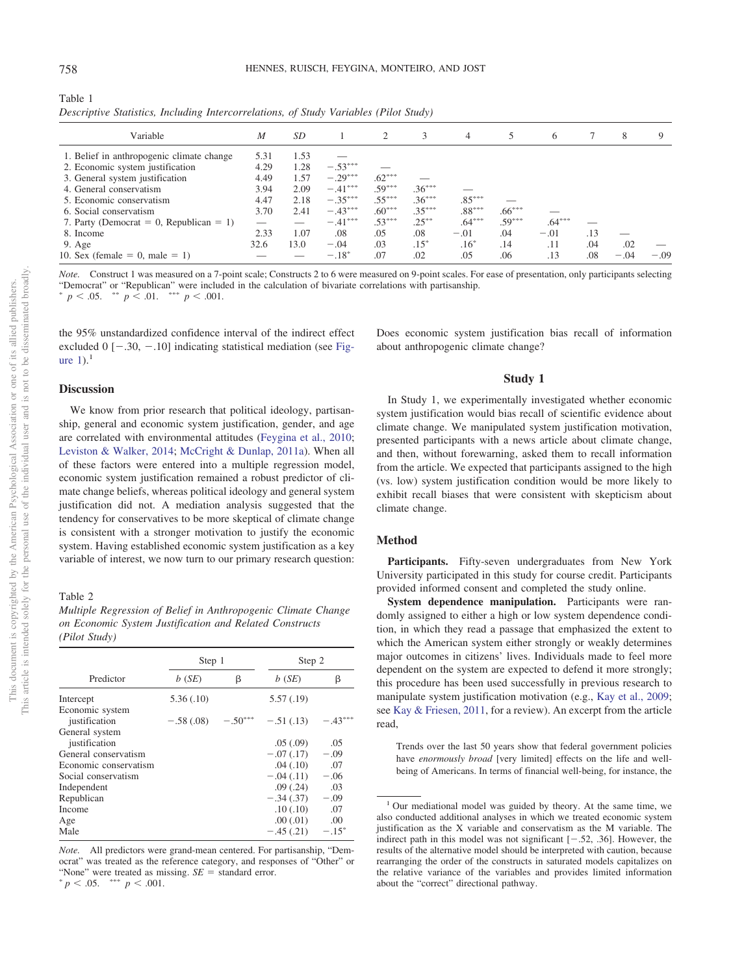<span id="page-3-0"></span>Table 1

| M    | SD   |           |          | 3        | 4        |          | 6        |     | 8      | 9      |
|------|------|-----------|----------|----------|----------|----------|----------|-----|--------|--------|
| 5.31 | 1.53 |           |          |          |          |          |          |     |        |        |
| 4.29 | 1.28 | $-.53***$ |          |          |          |          |          |     |        |        |
| 4.49 | 1.57 | $-.29***$ | $.62***$ |          |          |          |          |     |        |        |
| 3.94 | 2.09 | $-.41***$ | $.59***$ | $.36***$ |          |          |          |     |        |        |
| 4.47 | 2.18 | $-.35***$ | $.55***$ | $.36***$ | $.85***$ |          |          |     |        |        |
| 3.70 | 2.41 | $-.43***$ | $.60***$ | $.35***$ | $.88***$ | $.66***$ |          |     |        |        |
|      |      | $-.41***$ | $.53***$ | $.25***$ | $.64***$ | $.59***$ | $.64***$ |     |        |        |
| 2.33 | 1.07 | .08       | .05      | .08      | $-.01$   | .04      | $-.01$   | .13 |        |        |
| 32.6 | 13.0 | $-.04$    | .03      | $.15*$   | $.16*$   | .14      | .11      | .04 | .02    |        |
|      |      | $-.18*$   | .07      | .02      | .05      | .06      | .13      | .08 | $-.04$ | $-.09$ |
|      |      |           |          |          |          |          |          |     |        |        |

*Descriptive Statistics, Including Intercorrelations, of Study Variables (Pilot Study)*

*Note.* Construct 1 was measured on a 7-point scale; Constructs 2 to 6 were measured on 9-point scales. For ease of presentation, only participants selecting "Democrat" or "Republican" were included in the calculation of bivariate correlations with partisanship.<br>
" $p < .05$ . \*\*  $p < .01$ . \*\*\*  $p < .001$ .

the 95% unstandardized confidence interval of the indirect effect excluded  $0$  [ $-.30, -.10$ ] indicating statistical mediation (see [Fig](#page-4-0)ure  $1$ ).<sup>1</sup>

#### **Discussion**

We know from prior research that political ideology, partisanship, general and economic system justification, gender, and age are correlated with environmental attitudes [\(Feygina et al., 2010;](#page-12-8) [Leviston & Walker, 2014;](#page-13-12) [McCright & Dunlap, 2011a\)](#page-13-20). When all of these factors were entered into a multiple regression model, economic system justification remained a robust predictor of climate change beliefs, whereas political ideology and general system justification did not. A mediation analysis suggested that the tendency for conservatives to be more skeptical of climate change is consistent with a stronger motivation to justify the economic system. Having established economic system justification as a key variable of interest, we now turn to our primary research question:

<span id="page-3-1"></span>Table 2

*Multiple Regression of Belief in Anthropogenic Climate Change on Economic System Justification and Related Constructs (Pilot Study)*

|                                  | Step 1      |           | Step 2      |           |  |
|----------------------------------|-------------|-----------|-------------|-----------|--|
| Predictor                        | b(SE)       | β         | b(SE)       | β         |  |
| Intercept                        | 5.36(.10)   |           | 5.57(0.19)  |           |  |
| Economic system<br>justification | $-.58(.08)$ | $-.50***$ | $-.51(.13)$ | $-.43***$ |  |
| General system<br>justification  |             |           | .05(.09)    | .05       |  |
| General conservatism             |             |           | $-.07(.17)$ | $-.09$    |  |
| Economic conservatism            |             |           | .04(.10)    | .07       |  |
| Social conservatism              |             |           | $-.04(.11)$ | $-.06$    |  |
| Independent                      |             |           | .09(.24)    | .03       |  |
| Republican                       |             |           | $-.34(.37)$ | $-.09$    |  |
| Income                           |             |           | .10(.10)    | .07       |  |
| Age                              |             |           | .00(.01)    | .00       |  |
| Male                             |             |           | $-.45(.21)$ | $-.15^*$  |  |

*Note.* All predictors were grand-mean centered. For partisanship, "Democrat" was treated as the reference category, and responses of "Other" or "None" were treated as missing.  $SE =$  standard error.<br> $\binom{*}{}$  $p < .05.$  \*\*\*  $p < .001.$ 

Does economic system justification bias recall of information about anthropogenic climate change?

#### **Study 1**

In Study 1, we experimentally investigated whether economic system justification would bias recall of scientific evidence about climate change. We manipulated system justification motivation, presented participants with a news article about climate change, and then, without forewarning, asked them to recall information from the article. We expected that participants assigned to the high (vs. low) system justification condition would be more likely to exhibit recall biases that were consistent with skepticism about climate change.

#### **Method**

**Participants.** Fifty-seven undergraduates from New York University participated in this study for course credit. Participants provided informed consent and completed the study online.

**System dependence manipulation.** Participants were randomly assigned to either a high or low system dependence condition, in which they read a passage that emphasized the extent to which the American system either strongly or weakly determines major outcomes in citizens' lives. Individuals made to feel more dependent on the system are expected to defend it more strongly; this procedure has been used successfully in previous research to manipulate system justification motivation (e.g., [Kay et al., 2009;](#page-13-24) see [Kay & Friesen, 2011,](#page-13-25) for a review). An excerpt from the article read,

Trends over the last 50 years show that federal government policies have *enormously broad* [very limited] effects on the life and wellbeing of Americans. In terms of financial well-being, for instance, the

<sup>&</sup>lt;sup>1</sup> Our mediational model was guided by theory. At the same time, we also conducted additional analyses in which we treated economic system justification as the X variable and conservatism as the M variable. The indirect path in this model was not significant  $[-.52, .36]$ . However, the results of the alternative model should be interpreted with caution, because rearranging the order of the constructs in saturated models capitalizes on the relative variance of the variables and provides limited information about the "correct" directional pathway.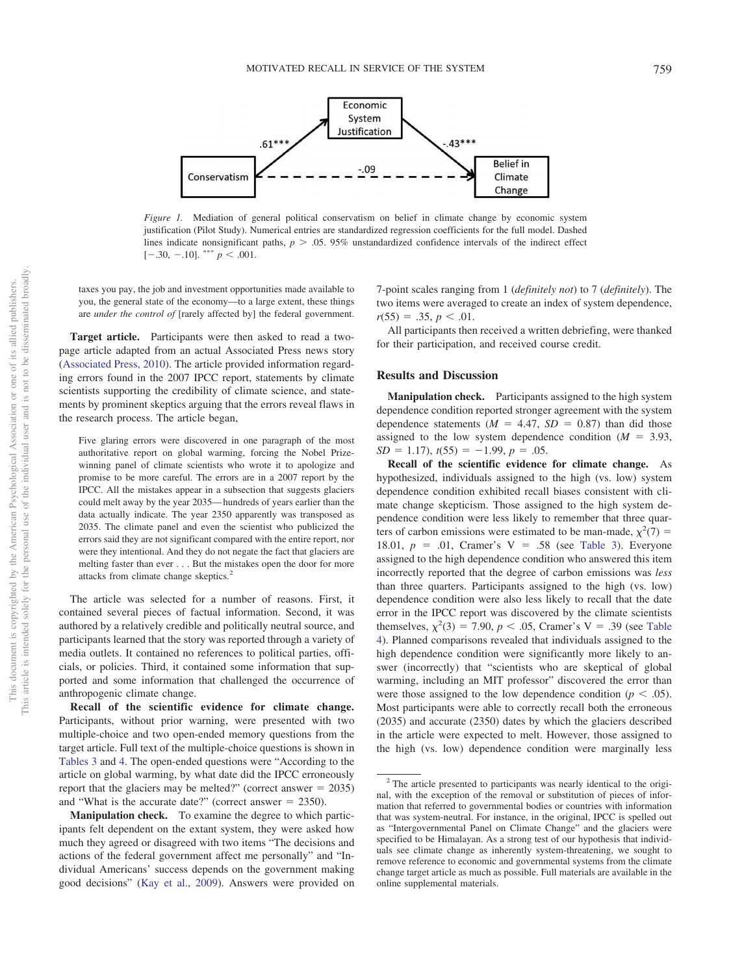

<span id="page-4-0"></span>*Figure 1.* Mediation of general political conservatism on belief in climate change by economic system justification (Pilot Study). Numerical entries are standardized regression coefficients for the full model. Dashed lines indicate nonsignificant paths,  $p > .05$ . 95% unstandardized confidence intervals of the indirect effect  $[-.30, -.10]$ . \*\*\*  $p < .001$ .

taxes you pay, the job and investment opportunities made available to you, the general state of the economy—to a large extent, these things are *under the control of* [rarely affected by] the federal government.

**Target article.** Participants were then asked to read a twopage article adapted from an actual Associated Press news story [\(Associated Press, 2010\)](#page-12-16). The article provided information regarding errors found in the 2007 IPCC report, statements by climate scientists supporting the credibility of climate science, and statements by prominent skeptics arguing that the errors reveal flaws in the research process. The article began,

Five glaring errors were discovered in one paragraph of the most authoritative report on global warming, forcing the Nobel Prizewinning panel of climate scientists who wrote it to apologize and promise to be more careful. The errors are in a 2007 report by the IPCC. All the mistakes appear in a subsection that suggests glaciers could melt away by the year 2035— hundreds of years earlier than the data actually indicate. The year 2350 apparently was transposed as 2035. The climate panel and even the scientist who publicized the errors said they are not significant compared with the entire report, nor were they intentional. And they do not negate the fact that glaciers are melting faster than ever . . . But the mistakes open the door for more attacks from climate change skeptics.2

The article was selected for a number of reasons. First, it contained several pieces of factual information. Second, it was authored by a relatively credible and politically neutral source, and participants learned that the story was reported through a variety of media outlets. It contained no references to political parties, officials, or policies. Third, it contained some information that supported and some information that challenged the occurrence of anthropogenic climate change.

**Recall of the scientific evidence for climate change.** Participants, without prior warning, were presented with two multiple-choice and two open-ended memory questions from the target article. Full text of the multiple-choice questions is shown in [Tables 3](#page-5-0) and [4.](#page-5-1) The open-ended questions were "According to the article on global warming, by what date did the IPCC erroneously report that the glaciers may be melted?" (correct answer  $= 2035$ ) and "What is the accurate date?" (correct answer  $= 2350$ ).

7-point scales ranging from 1 (*definitely not*) to 7 (*definitely*). The two items were averaged to create an index of system dependence,  $r(55) = .35, p < .01.$ 

All participants then received a written debriefing, were thanked for their participation, and received course credit.

#### **Results and Discussion**

**Manipulation check.** Participants assigned to the high system dependence condition reported stronger agreement with the system dependence statements  $(M = 4.47, SD = 0.87)$  than did those assigned to the low system dependence condition  $(M = 3.93,$  $SD = 1.17$ ,  $t(55) = -1.99$ ,  $p = .05$ .

**Recall of the scientific evidence for climate change.** As hypothesized, individuals assigned to the high (vs. low) system dependence condition exhibited recall biases consistent with climate change skepticism. Those assigned to the high system dependence condition were less likely to remember that three quarters of carbon emissions were estimated to be man-made,  $\chi^2(7)$  = 18.01,  $p = .01$ , Cramer's V = .58 (see [Table 3\)](#page-5-0). Everyone assigned to the high dependence condition who answered this item incorrectly reported that the degree of carbon emissions was *less* than three quarters. Participants assigned to the high (vs. low) dependence condition were also less likely to recall that the date error in the IPCC report was discovered by the climate scientists themselves,  $\chi^2(3) = 7.90, p < .05$ , Cramer's V = .39 (see [Table](#page-5-1) [4\)](#page-5-1). Planned comparisons revealed that individuals assigned to the high dependence condition were significantly more likely to answer (incorrectly) that "scientists who are skeptical of global warming, including an MIT professor" discovered the error than were those assigned to the low dependence condition ( $p < .05$ ). Most participants were able to correctly recall both the erroneous (2035) and accurate (2350) dates by which the glaciers described in the article were expected to melt. However, those assigned to the high (vs. low) dependence condition were marginally less

**Manipulation check.** To examine the degree to which participants felt dependent on the extant system, they were asked how much they agreed or disagreed with two items "The decisions and actions of the federal government affect me personally" and "Individual Americans' success depends on the government making good decisions" [\(Kay et al., 2009\)](#page-13-24). Answers were provided on

<sup>2</sup> The article presented to participants was nearly identical to the original, with the exception of the removal or substitution of pieces of information that referred to governmental bodies or countries with information that was system-neutral. For instance, in the original, IPCC is spelled out as "Intergovernmental Panel on Climate Change" and the glaciers were specified to be Himalayan. As a strong test of our hypothesis that individuals see climate change as inherently system-threatening, we sought to remove reference to economic and governmental systems from the climate change target article as much as possible. Full materials are available in the online supplemental materials.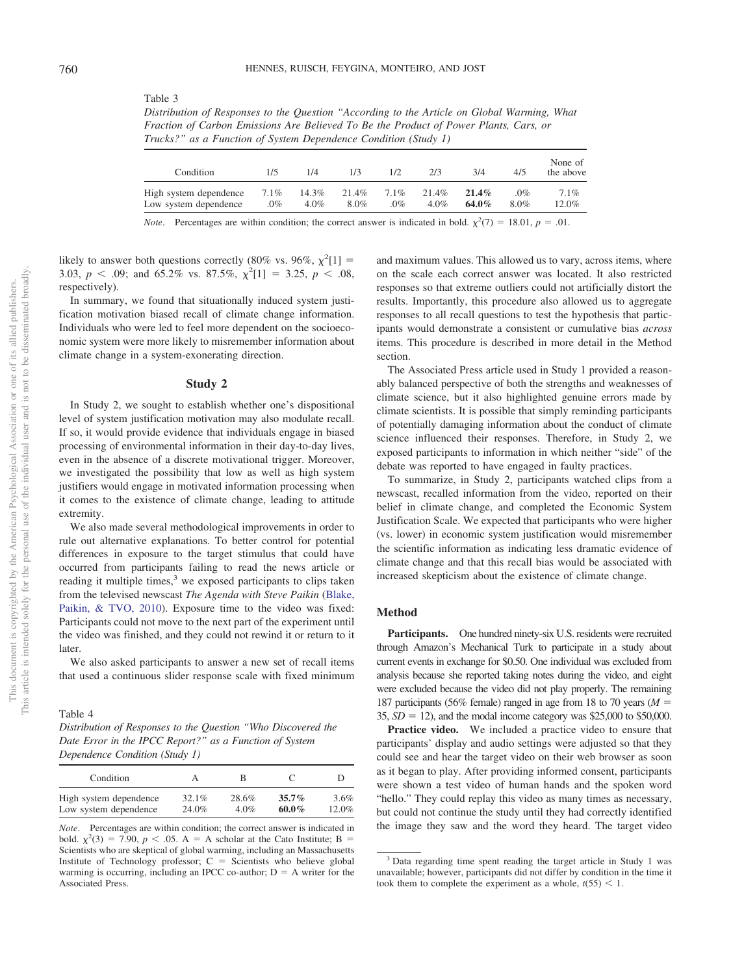*Distribution of Responses to the Question "According to the Article on Global Warming, What Fraction of Carbon Emissions Are Believed To Be the Product of Power Plants, Cars, or Trucks?" as a Function of System Dependence Condition (Study 1)*

| Condition              | 1/5     | 174     | 1/3   |         | 2/3     | 3/4      | 4/5  | None of<br>the above |
|------------------------|---------|---------|-------|---------|---------|----------|------|----------------------|
| High system dependence | $7.1\%$ | 14.3%   | 21.4% | $7.1\%$ | 21.4%   | $21.4\%$ | .0%  | 7.1%                 |
| Low system dependence  | .0%     | $4.0\%$ | 8.0%  | .0%     | $4.0\%$ | $64.0\%$ | 8.0% | 12.0%                |

*Note*. Percentages are within condition; the correct answer is indicated in bold.  $\chi^2(7) = 18.01$ ,  $p = .01$ .

likely to answer both questions correctly (80% vs. 96%,  $\chi^2[1]$  = 3.03,  $p < .09$ ; and 65.2% vs. 87.5%,  $\chi^2[1] = 3.25$ ,  $p < .08$ , respectively).

<span id="page-5-0"></span>Table 3

In summary, we found that situationally induced system justification motivation biased recall of climate change information. Individuals who were led to feel more dependent on the socioeconomic system were more likely to misremember information about climate change in a system-exonerating direction.

#### **Study 2**

In Study 2, we sought to establish whether one's dispositional level of system justification motivation may also modulate recall. If so, it would provide evidence that individuals engage in biased processing of environmental information in their day-to-day lives, even in the absence of a discrete motivational trigger. Moreover, we investigated the possibility that low as well as high system justifiers would engage in motivated information processing when it comes to the existence of climate change, leading to attitude extremity.

We also made several methodological improvements in order to rule out alternative explanations. To better control for potential differences in exposure to the target stimulus that could have occurred from participants failing to read the news article or reading it multiple times,<sup>3</sup> we exposed participants to clips taken from the televised newscast *The Agenda with Steve Paikin* [\(Blake,](#page-12-17) [Paikin, & TVO, 2010\)](#page-12-17). Exposure time to the video was fixed: Participants could not move to the next part of the experiment until the video was finished, and they could not rewind it or return to it later.

We also asked participants to answer a new set of recall items that used a continuous slider response scale with fixed minimum

<span id="page-5-1"></span>Table 4 *Distribution of Responses to the Question "Who Discovered the Date Error in the IPCC Report?" as a Function of System Dependence Condition (Study 1)*

| Condition              |       | В     |          |       |
|------------------------|-------|-------|----------|-------|
| High system dependence | 32.1% | 28.6% | $35.7\%$ | 3.6%  |
| Low system dependence  | 24.0% | 4.0%  | $60.0\%$ | 12.0% |

*Note*. Percentages are within condition; the correct answer is indicated in bold.  $\chi^2(3) = 7.90$ ,  $p < .05$ . A = A scholar at the Cato Institute; B = Scientists who are skeptical of global warming, including an Massachusetts Institute of Technology professor;  $C =$  Scientists who believe global warming is occurring, including an IPCC co-author;  $D = A$  writer for the Associated Press.

and maximum values. This allowed us to vary, across items, where on the scale each correct answer was located. It also restricted responses so that extreme outliers could not artificially distort the results. Importantly, this procedure also allowed us to aggregate responses to all recall questions to test the hypothesis that participants would demonstrate a consistent or cumulative bias *across* items. This procedure is described in more detail in the Method section.

The Associated Press article used in Study 1 provided a reasonably balanced perspective of both the strengths and weaknesses of climate science, but it also highlighted genuine errors made by climate scientists. It is possible that simply reminding participants of potentially damaging information about the conduct of climate science influenced their responses. Therefore, in Study 2, we exposed participants to information in which neither "side" of the debate was reported to have engaged in faulty practices.

To summarize, in Study 2, participants watched clips from a newscast, recalled information from the video, reported on their belief in climate change, and completed the Economic System Justification Scale. We expected that participants who were higher (vs. lower) in economic system justification would misremember the scientific information as indicating less dramatic evidence of climate change and that this recall bias would be associated with increased skepticism about the existence of climate change.

# **Method**

Participants. One hundred ninety-six U.S. residents were recruited through Amazon's Mechanical Turk to participate in a study about current events in exchange for \$0.50. One individual was excluded from analysis because she reported taking notes during the video, and eight were excluded because the video did not play properly. The remaining 187 participants (56% female) ranged in age from 18 to 70 years ( $M =$  $35, SD = 12$ ), and the modal income category was \$25,000 to \$50,000.

Practice video. We included a practice video to ensure that participants' display and audio settings were adjusted so that they could see and hear the target video on their web browser as soon as it began to play. After providing informed consent, participants were shown a test video of human hands and the spoken word "hello." They could replay this video as many times as necessary, but could not continue the study until they had correctly identified the image they saw and the word they heard. The target video

<sup>&</sup>lt;sup>3</sup> Data regarding time spent reading the target article in Study 1 was unavailable; however, participants did not differ by condition in the time it took them to complete the experiment as a whole,  $t(55) < 1$ .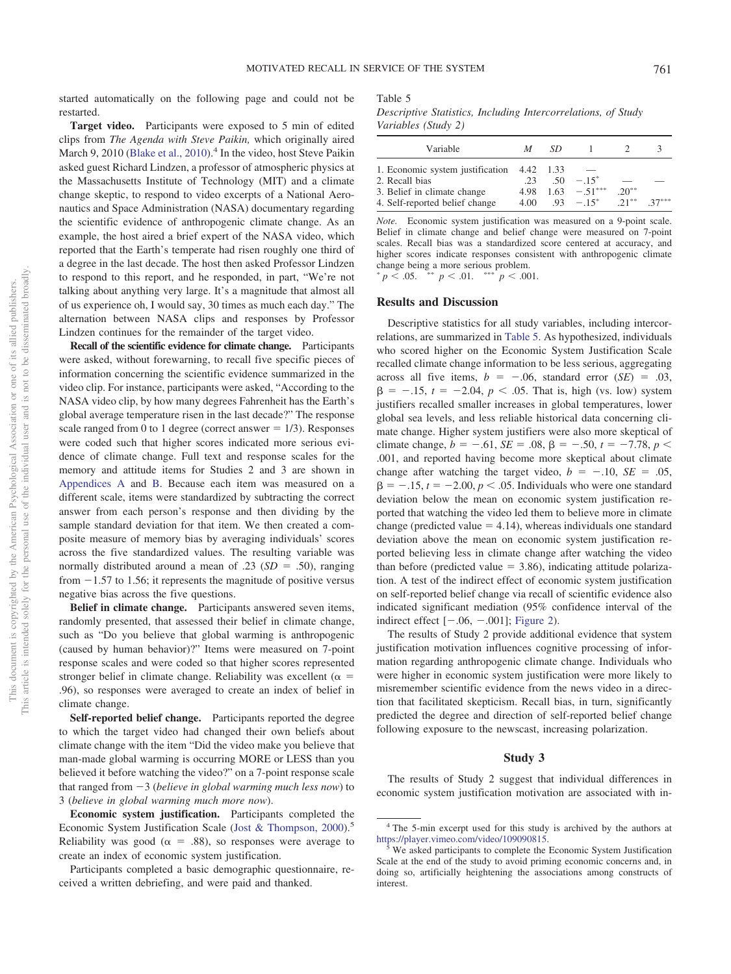started automatically on the following page and could not be restarted.

**Target video.** Participants were exposed to 5 min of edited clips from *The Agenda with Steve Paikin,* which originally aired March 9, 2010 [\(Blake et al., 2010\)](#page-12-17).<sup>4</sup> In the video, host Steve Paikin asked guest Richard Lindzen, a professor of atmospheric physics at the Massachusetts Institute of Technology (MIT) and a climate change skeptic, to respond to video excerpts of a National Aeronautics and Space Administration (NASA) documentary regarding the scientific evidence of anthropogenic climate change. As an example, the host aired a brief expert of the NASA video, which reported that the Earth's temperate had risen roughly one third of a degree in the last decade. The host then asked Professor Lindzen to respond to this report, and he responded, in part, "We're not talking about anything very large. It's a magnitude that almost all of us experience oh, I would say, 30 times as much each day." The alternation between NASA clips and responses by Professor Lindzen continues for the remainder of the target video.

**Recall of the scientific evidence for climate change.** Participants were asked, without forewarning, to recall five specific pieces of information concerning the scientific evidence summarized in the video clip. For instance, participants were asked, "According to the NASA video clip, by how many degrees Fahrenheit has the Earth's global average temperature risen in the last decade?" The response scale ranged from 0 to 1 degree (correct answer  $= 1/3$ ). Responses were coded such that higher scores indicated more serious evidence of climate change. Full text and response scales for the memory and attitude items for Studies 2 and 3 are shown in [Appendices A](#page-14-5) and [B.](#page-15-0) Because each item was measured on a different scale, items were standardized by subtracting the correct answer from each person's response and then dividing by the sample standard deviation for that item. We then created a composite measure of memory bias by averaging individuals' scores across the five standardized values. The resulting variable was normally distributed around a mean of .23  $(SD = .50)$ , ranging from  $-1.57$  to 1.56; it represents the magnitude of positive versus negative bias across the five questions.

**Belief in climate change.** Participants answered seven items, randomly presented, that assessed their belief in climate change, such as "Do you believe that global warming is anthropogenic (caused by human behavior)?" Items were measured on 7-point response scales and were coded so that higher scores represented stronger belief in climate change. Reliability was excellent ( $\alpha$  = .96), so responses were averaged to create an index of belief in climate change.

**Self-reported belief change.** Participants reported the degree to which the target video had changed their own beliefs about climate change with the item "Did the video make you believe that man-made global warming is occurring MORE or LESS than you believed it before watching the video?" on a 7-point response scale that ranged from  $-3$  (*believe in global warming much less now*) to 3 (*believe in global warming much more now*).

**Economic system justification.** Participants completed the Economic System Justification Scale [\(Jost & Thompson, 2000\)](#page-13-21).<sup>5</sup> Reliability was good ( $\alpha = .88$ ), so responses were average to create an index of economic system justification.

Participants completed a basic demographic questionnaire, received a written debriefing, and were paid and thanked.

<span id="page-6-0"></span>Table 5

*Descriptive Statistics, Including Intercorrelations, of Study Variables (Study 2)*

| Variable                         | М         | SD   |                    |           |         |
|----------------------------------|-----------|------|--------------------|-----------|---------|
| 1. Economic system justification | 4.42 1.33 |      |                    |           |         |
| 2. Recall bias                   | 23        | -50  | $-15$ <sup>*</sup> |           |         |
| 3. Belief in climate change      | 4.98      | 1.63 | $-51***$           | $20^{**}$ |         |
| 4. Self-reported belief change   | 4.00      |      | $-93 - 15^*$       | $21***$   | $37***$ |

*Note.* Economic system justification was measured on a 9-point scale. Belief in climate change and belief change were measured on 7-point scales. Recall bias was a standardized score centered at accuracy, and higher scores indicate responses consistent with anthropogenic climate change being a more serious problem.

 $p < .05.$  \*\*  $p < .01.$  \*\*\*  $p < .001.$ 

### **Results and Discussion**

Descriptive statistics for all study variables, including intercorrelations, are summarized in [Table 5.](#page-6-0) As hypothesized, individuals who scored higher on the Economic System Justification Scale recalled climate change information to be less serious, aggregating across all five items,  $b = -.06$ , standard error  $(SE) = .03$ ,  $\beta = -0.15$ ,  $t = -2.04$ ,  $p < 0.05$ . That is, high (vs. low) system justifiers recalled smaller increases in global temperatures, lower global sea levels, and less reliable historical data concerning climate change. Higher system justifiers were also more skeptical of climate change,  $b = -.61$ ,  $SE = .08$ ,  $\beta = -.50$ ,  $t = -7.78$ ,  $p <$ .001, and reported having become more skeptical about climate change after watching the target video,  $b = -.10$ ,  $SE = .05$ ,  $\beta = -15$ ,  $t = -2.00$ ,  $p < .05$ . Individuals who were one standard deviation below the mean on economic system justification reported that watching the video led them to believe more in climate change (predicted value  $=$  4.14), whereas individuals one standard deviation above the mean on economic system justification reported believing less in climate change after watching the video than before (predicted value  $= 3.86$ ), indicating attitude polarization. A test of the indirect effect of economic system justification on self-reported belief change via recall of scientific evidence also indicated significant mediation (95% confidence interval of the indirect effect  $[-.06, -.001]$ ; [Figure 2\)](#page-7-0).

The results of Study 2 provide additional evidence that system justification motivation influences cognitive processing of information regarding anthropogenic climate change. Individuals who were higher in economic system justification were more likely to misremember scientific evidence from the news video in a direction that facilitated skepticism. Recall bias, in turn, significantly predicted the degree and direction of self-reported belief change following exposure to the newscast, increasing polarization.

#### **Study 3**

The results of Study 2 suggest that individual differences in economic system justification motivation are associated with in-

<sup>4</sup> The 5-min excerpt used for this study is archived by the authors at [https://player.vimeo.com/video/109090815.](https://player.vimeo.com/video/109090815) <sup>5</sup> We asked participants to complete the Economic System Justification

Scale at the end of the study to avoid priming economic concerns and, in doing so, artificially heightening the associations among constructs of interest.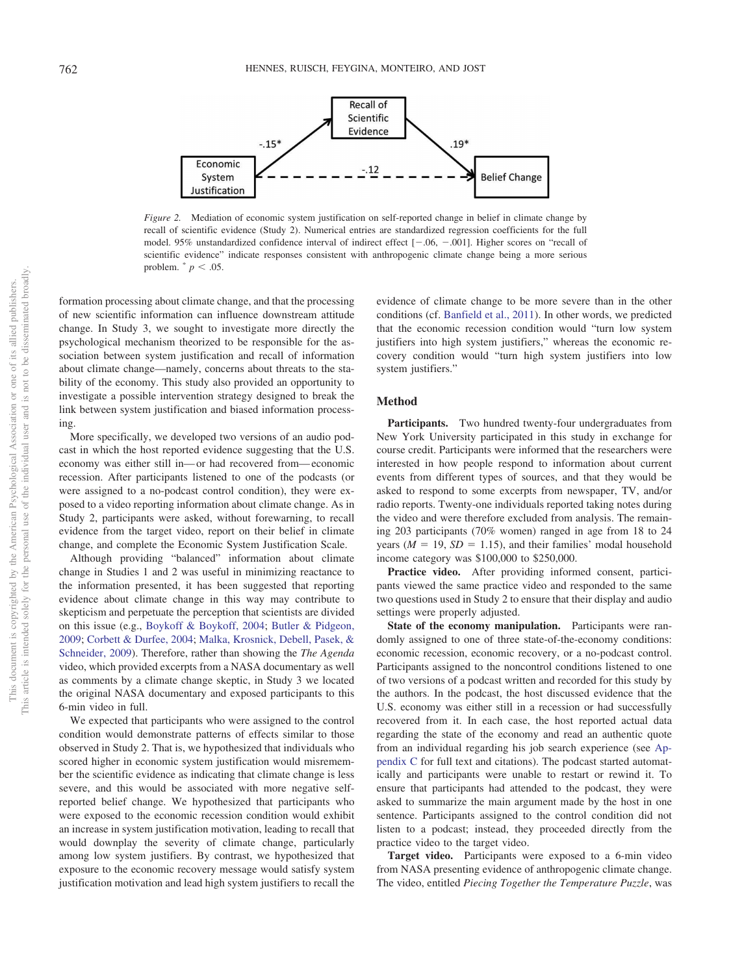

<span id="page-7-0"></span>*Figure 2.* Mediation of economic system justification on self-reported change in belief in climate change by recall of scientific evidence (Study 2). Numerical entries are standardized regression coefficients for the full model. 95% unstandardized confidence interval of indirect effect  $[-.06, -.001]$ . Higher scores on "recall of scientific evidence" indicate responses consistent with anthropogenic climate change being a more serious problem.  $p < .05$ .

formation processing about climate change, and that the processing of new scientific information can influence downstream attitude change. In Study 3, we sought to investigate more directly the psychological mechanism theorized to be responsible for the association between system justification and recall of information about climate change—namely, concerns about threats to the stability of the economy. This study also provided an opportunity to investigate a possible intervention strategy designed to break the link between system justification and biased information processing.

More specifically, we developed two versions of an audio podcast in which the host reported evidence suggesting that the U.S. economy was either still in— or had recovered from— economic recession. After participants listened to one of the podcasts (or were assigned to a no-podcast control condition), they were exposed to a video reporting information about climate change. As in Study 2, participants were asked, without forewarning, to recall evidence from the target video, report on their belief in climate change, and complete the Economic System Justification Scale.

Although providing "balanced" information about climate change in Studies 1 and 2 was useful in minimizing reactance to the information presented, it has been suggested that reporting evidence about climate change in this way may contribute to skepticism and perpetuate the perception that scientists are divided on this issue (e.g., [Boykoff & Boykoff, 2004;](#page-12-18) [Butler & Pidgeon,](#page-12-19) [2009;](#page-12-19) [Corbett & Durfee, 2004;](#page-12-20) [Malka, Krosnick, Debell, Pasek, &](#page-13-26) [Schneider, 2009\)](#page-13-26). Therefore, rather than showing the *The Agenda* video, which provided excerpts from a NASA documentary as well as comments by a climate change skeptic, in Study 3 we located the original NASA documentary and exposed participants to this 6-min video in full.

We expected that participants who were assigned to the control condition would demonstrate patterns of effects similar to those observed in Study 2. That is, we hypothesized that individuals who scored higher in economic system justification would misremember the scientific evidence as indicating that climate change is less severe, and this would be associated with more negative selfreported belief change. We hypothesized that participants who were exposed to the economic recession condition would exhibit an increase in system justification motivation, leading to recall that would downplay the severity of climate change, particularly among low system justifiers. By contrast, we hypothesized that exposure to the economic recovery message would satisfy system justification motivation and lead high system justifiers to recall the

evidence of climate change to be more severe than in the other conditions (cf. [Banfield et al., 2011\)](#page-12-15). In other words, we predicted that the economic recession condition would "turn low system justifiers into high system justifiers," whereas the economic recovery condition would "turn high system justifiers into low system justifiers."

#### **Method**

**Participants.** Two hundred twenty-four undergraduates from New York University participated in this study in exchange for course credit. Participants were informed that the researchers were interested in how people respond to information about current events from different types of sources, and that they would be asked to respond to some excerpts from newspaper, TV, and/or radio reports. Twenty-one individuals reported taking notes during the video and were therefore excluded from analysis. The remaining 203 participants (70% women) ranged in age from 18 to 24 years  $(M = 19, SD = 1.15)$ , and their families' modal household income category was \$100,000 to \$250,000.

**Practice video.** After providing informed consent, participants viewed the same practice video and responded to the same two questions used in Study 2 to ensure that their display and audio settings were properly adjusted.

**State of the economy manipulation.** Participants were randomly assigned to one of three state-of-the-economy conditions: economic recession, economic recovery, or a no-podcast control. Participants assigned to the noncontrol conditions listened to one of two versions of a podcast written and recorded for this study by the authors. In the podcast, the host discussed evidence that the U.S. economy was either still in a recession or had successfully recovered from it. In each case, the host reported actual data regarding the state of the economy and read an authentic quote from an individual regarding his job search experience (see [Ap](#page-16-0)[pendix C](#page-16-0) for full text and citations). The podcast started automatically and participants were unable to restart or rewind it. To ensure that participants had attended to the podcast, they were asked to summarize the main argument made by the host in one sentence. Participants assigned to the control condition did not listen to a podcast; instead, they proceeded directly from the practice video to the target video.

**Target video.** Participants were exposed to a 6-min video from NASA presenting evidence of anthropogenic climate change. The video, entitled *Piecing Together the Temperature Puzzle*, was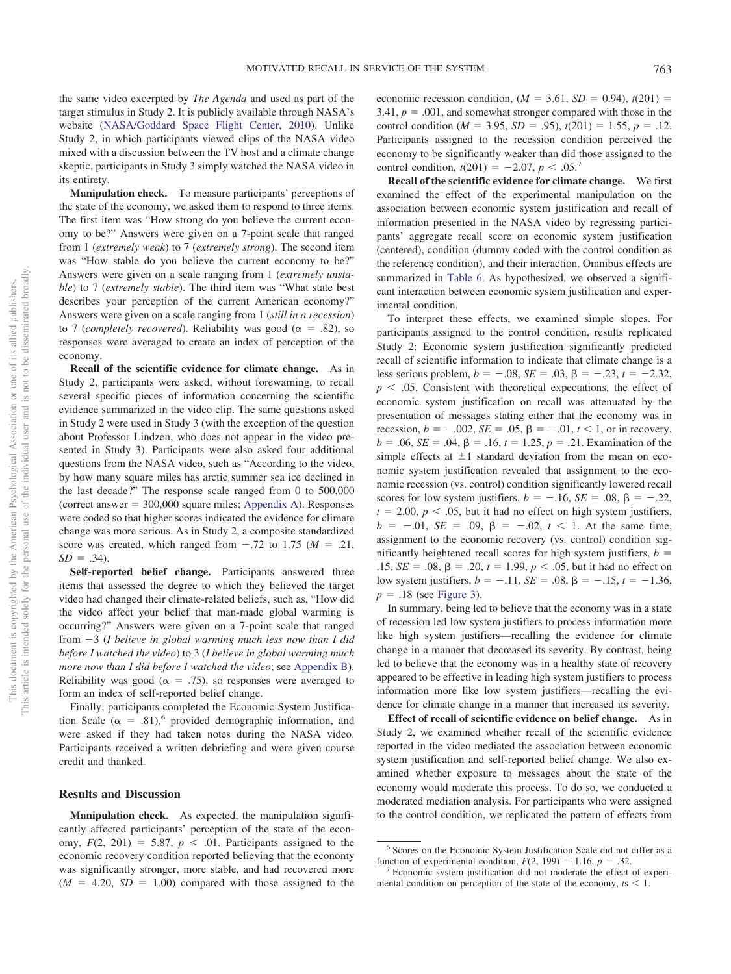the same video excerpted by *The Agenda* and used as part of the target stimulus in Study 2. It is publicly available through NASA's website [\(NASA/Goddard Space Flight Center, 2010\)](#page-13-27). Unlike Study 2, in which participants viewed clips of the NASA video mixed with a discussion between the TV host and a climate change skeptic, participants in Study 3 simply watched the NASA video in its entirety.

**Manipulation check.** To measure participants' perceptions of the state of the economy, we asked them to respond to three items. The first item was "How strong do you believe the current economy to be?" Answers were given on a 7-point scale that ranged from 1 (*extremely weak*) to 7 (*extremely strong*). The second item was "How stable do you believe the current economy to be?" Answers were given on a scale ranging from 1 (*extremely unstable*) to 7 (*extremely stable*). The third item was "What state best describes your perception of the current American economy?" Answers were given on a scale ranging from 1 (*still in a recession*) to 7 (*completely recovered*). Reliability was good ( $\alpha = .82$ ), so responses were averaged to create an index of perception of the economy.

**Recall of the scientific evidence for climate change.** As in Study 2, participants were asked, without forewarning, to recall several specific pieces of information concerning the scientific evidence summarized in the video clip. The same questions asked in Study 2 were used in Study 3 (with the exception of the question about Professor Lindzen, who does not appear in the video presented in Study 3). Participants were also asked four additional questions from the NASA video, such as "According to the video, by how many square miles has arctic summer sea ice declined in the last decade?" The response scale ranged from 0 to 500,000  $(correct answer = 300,000 square miles; Appendix A). Responses$  $(correct answer = 300,000 square miles; Appendix A). Responses$  $(correct answer = 300,000 square miles; Appendix A). Responses$ were coded so that higher scores indicated the evidence for climate change was more serious. As in Study 2, a composite standardized score was created, which ranged from  $-.72$  to 1.75 ( $M = .21$ ,  $SD = .34$ ).

**Self-reported belief change.** Participants answered three items that assessed the degree to which they believed the target video had changed their climate-related beliefs, such as, "How did the video affect your belief that man-made global warming is occurring?" Answers were given on a 7-point scale that ranged from 3 (*I believe in global warming much less now than I did before I watched the video*) to 3 (*I believe in global warming much more now than I did before I watched the video*; see [Appendix B\)](#page-15-0). Reliability was good ( $\alpha = .75$ ), so responses were averaged to form an index of self-reported belief change.

Finally, participants completed the Economic System Justification Scale ( $\alpha = .81$ ),<sup>6</sup> provided demographic information, and were asked if they had taken notes during the NASA video. Participants received a written debriefing and were given course credit and thanked.

#### **Results and Discussion**

**Manipulation check.** As expected, the manipulation significantly affected participants' perception of the state of the economy,  $F(2, 201) = 5.87$ ,  $p < .01$ . Participants assigned to the economic recovery condition reported believing that the economy was significantly stronger, more stable, and had recovered more  $(M = 4.20, SD = 1.00)$  compared with those assigned to the

economic recession condition,  $(M = 3.61, SD = 0.94)$ ,  $t(201) =$  $3.41, p = .001$ , and somewhat stronger compared with those in the control condition ( $M = 3.95$ ,  $SD = .95$ ),  $t(201) = 1.55$ ,  $p = .12$ . Participants assigned to the recession condition perceived the economy to be significantly weaker than did those assigned to the control condition,  $t(201) = -2.07$ ,  $p < .05$ <sup>7</sup>

**Recall of the scientific evidence for climate change.** We first examined the effect of the experimental manipulation on the association between economic system justification and recall of information presented in the NASA video by regressing participants' aggregate recall score on economic system justification (centered), condition (dummy coded with the control condition as the reference condition), and their interaction. Omnibus effects are summarized in [Table 6.](#page-9-0) As hypothesized, we observed a significant interaction between economic system justification and experimental condition.

To interpret these effects, we examined simple slopes. For participants assigned to the control condition, results replicated Study 2: Economic system justification significantly predicted recall of scientific information to indicate that climate change is a less serious problem,  $b = -.08$ ,  $SE = .03$ ,  $\beta = -.23$ ,  $t = -2.32$ ,  $p < .05$ . Consistent with theoretical expectations, the effect of economic system justification on recall was attenuated by the presentation of messages stating either that the economy was in recession,  $b = -.002$ ,  $SE = .05$ ,  $\beta = -.01$ ,  $t < 1$ , or in recovery,  $b = .06$ ,  $SE = .04$ ,  $\beta = .16$ ,  $t = 1.25$ ,  $p = .21$ . Examination of the simple effects at  $\pm 1$  standard deviation from the mean on economic system justification revealed that assignment to the economic recession (vs. control) condition significantly lowered recall scores for low system justifiers,  $b = -.16$ ,  $SE = .08$ ,  $\beta = -.22$ ,  $t = 2.00, p < .05$ , but it had no effect on high system justifiers,  $b = -0.01$ ,  $SE = 0.09$ ,  $\beta = -0.02$ ,  $t < 1$ . At the same time, assignment to the economic recovery (vs. control) condition significantly heightened recall scores for high system justifiers,  $b =$ .15,  $SE = .08$ ,  $\beta = .20$ ,  $t = 1.99$ ,  $p < .05$ , but it had no effect on low system justifiers,  $b = -.11$ ,  $SE = .08$ ,  $\beta = -.15$ ,  $t = -1.36$ ,  $p = .18$  (see [Figure 3\)](#page-9-1).

In summary, being led to believe that the economy was in a state of recession led low system justifiers to process information more like high system justifiers—recalling the evidence for climate change in a manner that decreased its severity. By contrast, being led to believe that the economy was in a healthy state of recovery appeared to be effective in leading high system justifiers to process information more like low system justifiers—recalling the evidence for climate change in a manner that increased its severity.

**Effect of recall of scientific evidence on belief change.** As in Study 2, we examined whether recall of the scientific evidence reported in the video mediated the association between economic system justification and self-reported belief change. We also examined whether exposure to messages about the state of the economy would moderate this process. To do so, we conducted a moderated mediation analysis. For participants who were assigned to the control condition, we replicated the pattern of effects from

<sup>6</sup> Scores on the Economic System Justification Scale did not differ as a function of experimental condition,  $F(2, 199) = 1.16$ ,  $p =$ 

 $\frac{3}{2}$  Economic system justification did not moderate the effect of experimental condition on perception of the state of the economy,  $ts < 1$ .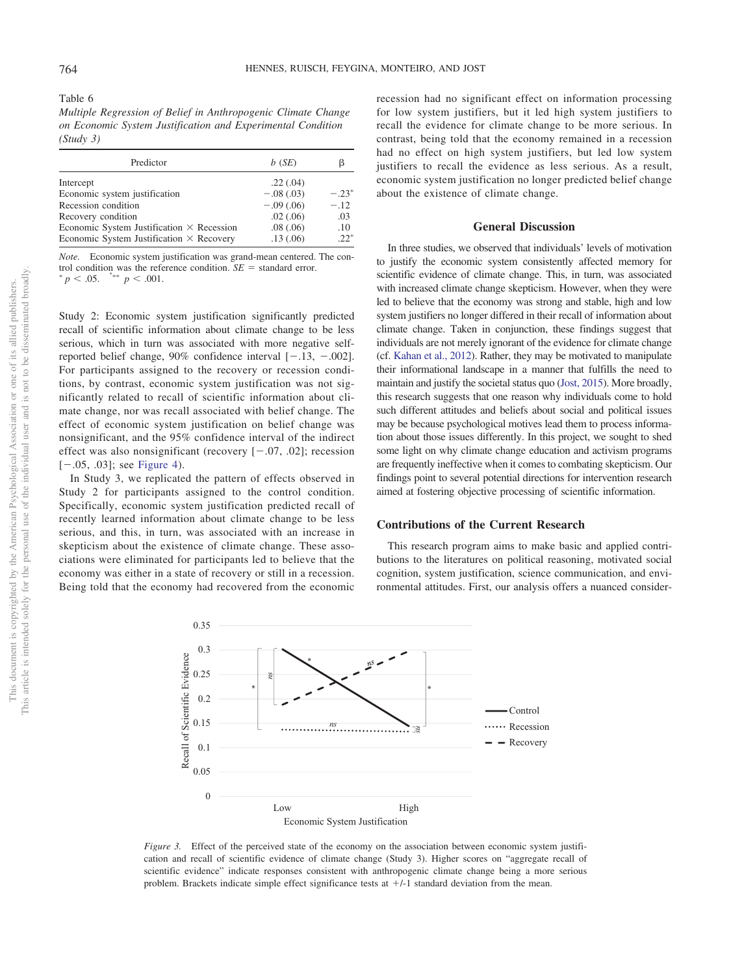<span id="page-9-0"></span>Table 6

*Multiple Regression of Belief in Anthropogenic Climate Change on Economic System Justification and Experimental Condition (Study 3)*

| Predictor                                        | b(SE)       | ß       |
|--------------------------------------------------|-------------|---------|
| Intercept                                        | .22(.04)    |         |
| Economic system justification                    | $-.08(.03)$ | $-.23*$ |
| Recession condition                              | $-.09(.06)$ | $-.12$  |
| Recovery condition                               | .02(.06)    | .03     |
| Economic System Justification $\times$ Recession | .08(.06)    | .10     |
| Economic System Justification $\times$ Recovery  | .13(0.06)   | $22^*$  |

*Note.* Economic system justification was grand-mean centered. The control condition was the reference condition.  $SE =$  standard error.  $p < .05$ .  $p < .001$ .

Study 2: Economic system justification significantly predicted recall of scientific information about climate change to be less serious, which in turn was associated with more negative selfreported belief change,  $90\%$  confidence interval  $[-.13, -.002]$ . For participants assigned to the recovery or recession conditions, by contrast, economic system justification was not significantly related to recall of scientific information about climate change, nor was recall associated with belief change. The effect of economic system justification on belief change was nonsignificant, and the 95% confidence interval of the indirect effect was also nonsignificant (recovery  $[-.07, .02]$ ; recession  $[-.05, .03]$ ; see [Figure 4\)](#page-10-0).

In Study 3, we replicated the pattern of effects observed in Study 2 for participants assigned to the control condition. Specifically, economic system justification predicted recall of recently learned information about climate change to be less serious, and this, in turn, was associated with an increase in skepticism about the existence of climate change. These associations were eliminated for participants led to believe that the economy was either in a state of recovery or still in a recession. Being told that the economy had recovered from the economic

recession had no significant effect on information processing for low system justifiers, but it led high system justifiers to recall the evidence for climate change to be more serious. In contrast, being told that the economy remained in a recession had no effect on high system justifiers, but led low system justifiers to recall the evidence as less serious. As a result, economic system justification no longer predicted belief change about the existence of climate change.

#### **General Discussion**

In three studies, we observed that individuals' levels of motivation to justify the economic system consistently affected memory for scientific evidence of climate change. This, in turn, was associated with increased climate change skepticism. However, when they were led to believe that the economy was strong and stable, high and low system justifiers no longer differed in their recall of information about climate change. Taken in conjunction, these findings suggest that individuals are not merely ignorant of the evidence for climate change (cf. [Kahan et al., 2012\)](#page-13-16). Rather, they may be motivated to manipulate their informational landscape in a manner that fulfills the need to maintain and justify the societal status quo [\(Jost, 2015\)](#page-12-7). More broadly, this research suggests that one reason why individuals come to hold such different attitudes and beliefs about social and political issues may be because psychological motives lead them to process information about those issues differently. In this project, we sought to shed some light on why climate change education and activism programs are frequently ineffective when it comes to combating skepticism. Our findings point to several potential directions for intervention research aimed at fostering objective processing of scientific information.

#### **Contributions of the Current Research**

This research program aims to make basic and applied contributions to the literatures on political reasoning, motivated social cognition, system justification, science communication, and environmental attitudes. First, our analysis offers a nuanced consider-



<span id="page-9-1"></span>*Figure 3.* Effect of the perceived state of the economy on the association between economic system justification and recall of scientific evidence of climate change (Study 3). Higher scores on "aggregate recall of scientific evidence" indicate responses consistent with anthropogenic climate change being a more serious problem. Brackets indicate simple effect significance tests at  $+/-1$  standard deviation from the mean.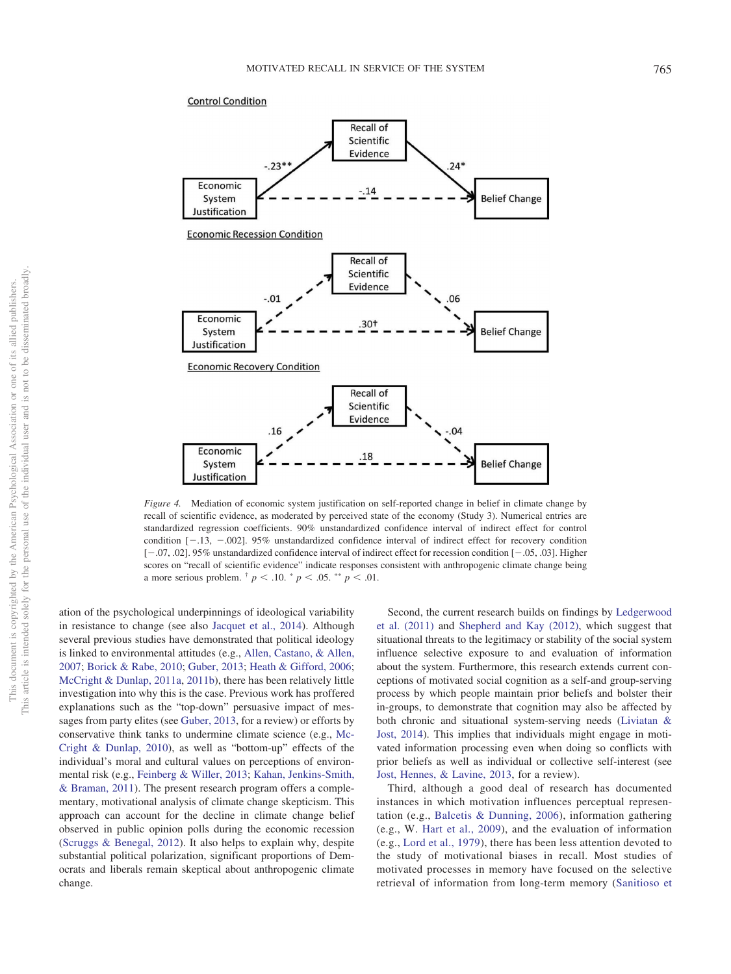#### **Control Condition**



<span id="page-10-0"></span>*Figure 4.* Mediation of economic system justification on self-reported change in belief in climate change by recall of scientific evidence, as moderated by perceived state of the economy (Study 3). Numerical entries are standardized regression coefficients. 90% unstandardized confidence interval of indirect effect for control condition  $[-13, -002]$ . 95% unstandardized confidence interval of indirect effect for recovery condition  $[-.07, .02]$ . 95% unstandardized confidence interval of indirect effect for recession condition  $[-.05, .03]$ . Higher scores on "recall of scientific evidence" indicate responses consistent with anthropogenic climate change being a more serious problem.  $\frac{1}{p}$   $p < .10$ .  $\frac{1}{p}$   $p < .05$ .  $\frac{1}{p}$   $p < .01$ .

ation of the psychological underpinnings of ideological variability in resistance to change (see also [Jacquet et al., 2014\)](#page-12-3). Although several previous studies have demonstrated that political ideology is linked to environmental attitudes (e.g., [Allen, Castano, & Allen,](#page-12-21) [2007;](#page-12-21) [Borick & Rabe, 2010;](#page-12-22) [Guber, 2013;](#page-12-23) [Heath & Gifford, 2006;](#page-12-24) [McCright & Dunlap, 2011a,](#page-13-20) [2011b\)](#page-13-8), there has been relatively little investigation into why this is the case. Previous work has proffered explanations such as the "top-down" persuasive impact of messages from party elites (see [Guber, 2013,](#page-12-23) for a review) or efforts by conservative think tanks to undermine climate science (e.g., [Mc-](#page-13-28)[Cright & Dunlap, 2010\)](#page-13-28), as well as "bottom-up" effects of the individual's moral and cultural values on perceptions of environmental risk (e.g., [Feinberg & Willer, 2013;](#page-12-25) [Kahan, Jenkins-Smith,](#page-13-29) [& Braman, 2011\)](#page-13-29). The present research program offers a complementary, motivational analysis of climate change skepticism. This approach can account for the decline in climate change belief observed in public opinion polls during the economic recession [\(Scruggs & Benegal, 2012\)](#page-13-6). It also helps to explain why, despite substantial political polarization, significant proportions of Democrats and liberals remain skeptical about anthropogenic climate change.

Second, the current research builds on findings by [Ledgerwood](#page-13-13) [et al. \(2011\)](#page-13-13) and [Shepherd and Kay \(2012\),](#page-13-10) which suggest that situational threats to the legitimacy or stability of the social system influence selective exposure to and evaluation of information about the system. Furthermore, this research extends current conceptions of motivated social cognition as a self-and group-serving process by which people maintain prior beliefs and bolster their in-groups, to demonstrate that cognition may also be affected by both chronic and situational system-serving needs [\(Liviatan &](#page-13-19) [Jost, 2014\)](#page-13-19). This implies that individuals might engage in motivated information processing even when doing so conflicts with prior beliefs as well as individual or collective self-interest (see [Jost, Hennes, & Lavine, 2013,](#page-13-30) for a review).

Third, although a good deal of research has documented instances in which motivation influences perceptual representation (e.g., [Balcetis & Dunning, 2006\)](#page-12-26), information gathering (e.g., W. [Hart et al., 2009\)](#page-12-27), and the evaluation of information (e.g., [Lord et al., 1979\)](#page-13-11), there has been less attention devoted to the study of motivational biases in recall. Most studies of motivated processes in memory have focused on the selective retrieval of information from long-term memory [\(Sanitioso et](#page-13-17)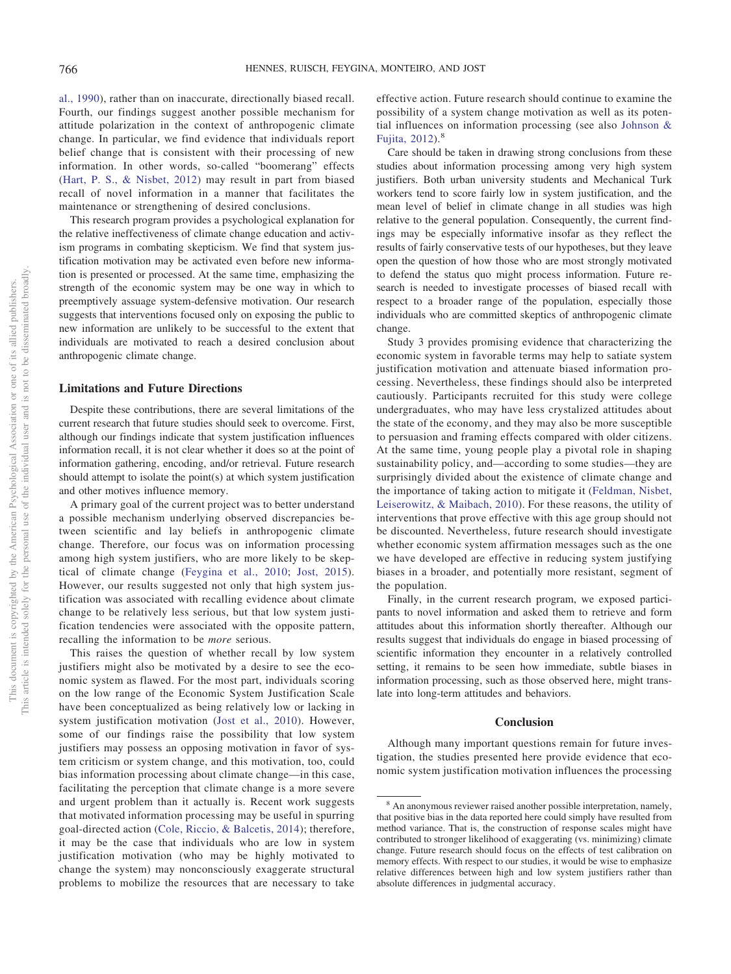[al., 1990\)](#page-13-17), rather than on inaccurate, directionally biased recall. Fourth, our findings suggest another possible mechanism for attitude polarization in the context of anthropogenic climate change. In particular, we find evidence that individuals report belief change that is consistent with their processing of new information. In other words, so-called "boomerang" effects [\(Hart, P. S., & Nisbet, 2012\)](#page-12-11) may result in part from biased recall of novel information in a manner that facilitates the maintenance or strengthening of desired conclusions.

This research program provides a psychological explanation for the relative ineffectiveness of climate change education and activism programs in combating skepticism. We find that system justification motivation may be activated even before new information is presented or processed. At the same time, emphasizing the strength of the economic system may be one way in which to preemptively assuage system-defensive motivation. Our research suggests that interventions focused only on exposing the public to new information are unlikely to be successful to the extent that individuals are motivated to reach a desired conclusion about anthropogenic climate change.

#### **Limitations and Future Directions**

Despite these contributions, there are several limitations of the current research that future studies should seek to overcome. First, although our findings indicate that system justification influences information recall, it is not clear whether it does so at the point of information gathering, encoding, and/or retrieval. Future research should attempt to isolate the point(s) at which system justification and other motives influence memory.

A primary goal of the current project was to better understand a possible mechanism underlying observed discrepancies between scientific and lay beliefs in anthropogenic climate change. Therefore, our focus was on information processing among high system justifiers, who are more likely to be skeptical of climate change [\(Feygina et al., 2010;](#page-12-8) [Jost, 2015\)](#page-12-7). However, our results suggested not only that high system justification was associated with recalling evidence about climate change to be relatively less serious, but that low system justification tendencies were associated with the opposite pattern, recalling the information to be *more* serious.

This raises the question of whether recall by low system justifiers might also be motivated by a desire to see the economic system as flawed. For the most part, individuals scoring on the low range of the Economic System Justification Scale have been conceptualized as being relatively low or lacking in system justification motivation [\(Jost et al., 2010\)](#page-13-31). However, some of our findings raise the possibility that low system justifiers may possess an opposing motivation in favor of system criticism or system change, and this motivation, too, could bias information processing about climate change—in this case, facilitating the perception that climate change is a more severe and urgent problem than it actually is. Recent work suggests that motivated information processing may be useful in spurring goal-directed action [\(Cole, Riccio, & Balcetis, 2014\)](#page-12-28); therefore, it may be the case that individuals who are low in system justification motivation (who may be highly motivated to change the system) may nonconsciously exaggerate structural problems to mobilize the resources that are necessary to take effective action. Future research should continue to examine the possibility of a system change motivation as well as its potential influences on information processing (see also [Johnson &](#page-12-29) [Fujita, 2012\)](#page-12-29).<sup>8</sup>

Care should be taken in drawing strong conclusions from these studies about information processing among very high system justifiers. Both urban university students and Mechanical Turk workers tend to score fairly low in system justification, and the mean level of belief in climate change in all studies was high relative to the general population. Consequently, the current findings may be especially informative insofar as they reflect the results of fairly conservative tests of our hypotheses, but they leave open the question of how those who are most strongly motivated to defend the status quo might process information. Future research is needed to investigate processes of biased recall with respect to a broader range of the population, especially those individuals who are committed skeptics of anthropogenic climate change.

Study 3 provides promising evidence that characterizing the economic system in favorable terms may help to satiate system justification motivation and attenuate biased information processing. Nevertheless, these findings should also be interpreted cautiously. Participants recruited for this study were college undergraduates, who may have less crystalized attitudes about the state of the economy, and they may also be more susceptible to persuasion and framing effects compared with older citizens. At the same time, young people play a pivotal role in shaping sustainability policy, and—according to some studies—they are surprisingly divided about the existence of climate change and the importance of taking action to mitigate it [\(Feldman, Nisbet,](#page-12-30) [Leiserowitz, & Maibach, 2010\)](#page-12-30). For these reasons, the utility of interventions that prove effective with this age group should not be discounted. Nevertheless, future research should investigate whether economic system affirmation messages such as the one we have developed are effective in reducing system justifying biases in a broader, and potentially more resistant, segment of the population.

Finally, in the current research program, we exposed participants to novel information and asked them to retrieve and form attitudes about this information shortly thereafter. Although our results suggest that individuals do engage in biased processing of scientific information they encounter in a relatively controlled setting, it remains to be seen how immediate, subtle biases in information processing, such as those observed here, might translate into long-term attitudes and behaviors.

#### **Conclusion**

Although many important questions remain for future investigation, the studies presented here provide evidence that economic system justification motivation influences the processing

<sup>8</sup> An anonymous reviewer raised another possible interpretation, namely, that positive bias in the data reported here could simply have resulted from method variance. That is, the construction of response scales might have contributed to stronger likelihood of exaggerating (vs. minimizing) climate change. Future research should focus on the effects of test calibration on memory effects. With respect to our studies, it would be wise to emphasize relative differences between high and low system justifiers rather than absolute differences in judgmental accuracy.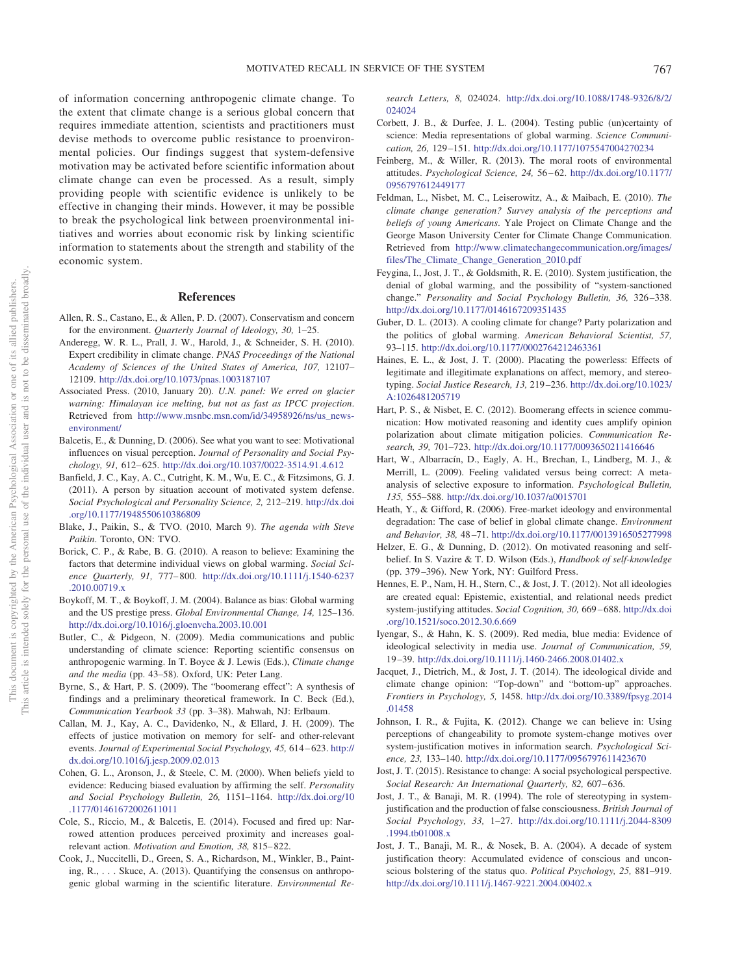of information concerning anthropogenic climate change. To the extent that climate change is a serious global concern that requires immediate attention, scientists and practitioners must devise methods to overcome public resistance to proenvironmental policies. Our findings suggest that system-defensive motivation may be activated before scientific information about climate change can even be processed. As a result, simply providing people with scientific evidence is unlikely to be effective in changing their minds. However, it may be possible to break the psychological link between proenvironmental initiatives and worries about economic risk by linking scientific information to statements about the strength and stability of the economic system.

#### **References**

- <span id="page-12-21"></span>Allen, R. S., Castano, E., & Allen, P. D. (2007). Conservatism and concern for the environment. *Quarterly Journal of Ideology, 30,* 1–25.
- <span id="page-12-0"></span>Anderegg, W. R. L., Prall, J. W., Harold, J., & Schneider, S. H. (2010). Expert credibility in climate change. *PNAS Proceedings of the National Academy of Sciences of the United States of America, 107,* 12107– 12109. <http://dx.doi.org/10.1073/pnas.1003187107>
- <span id="page-12-16"></span>Associated Press. (2010, January 20). *U.N. panel: We erred on glacier warning: Himalayan ice melting, but not as fast as IPCC projection*. Retrieved from [http://www.msnbc.msn.com/id/34958926/ns/us\\_news](http://www.msnbc.msn.com/id/34958926/ns/us_news-environment/)[environment/](http://www.msnbc.msn.com/id/34958926/ns/us_news-environment/)
- <span id="page-12-26"></span>Balcetis, E., & Dunning, D. (2006). See what you want to see: Motivational influences on visual perception. *Journal of Personality and Social Psychology, 91,* 612– 625. <http://dx.doi.org/10.1037/0022-3514.91.4.612>
- <span id="page-12-15"></span>Banfield, J. C., Kay, A. C., Cutright, K. M., Wu, E. C., & Fitzsimons, G. J. (2011). A person by situation account of motivated system defense. *Social Psychological and Personality Science, 2,* 212–219. [http://dx.doi](http://dx.doi.org/10.1177/1948550610386809) [.org/10.1177/1948550610386809](http://dx.doi.org/10.1177/1948550610386809)
- <span id="page-12-17"></span>Blake, J., Paikin, S., & TVO. (2010, March 9). *The agenda with Steve Paikin*. Toronto, ON: TVO.
- <span id="page-12-22"></span>Borick, C. P., & Rabe, B. G. (2010). A reason to believe: Examining the factors that determine individual views on global warming. *Social Science Quarterly, 91,* 777– 800. [http://dx.doi.org/10.1111/j.1540-6237](http://dx.doi.org/10.1111/j.1540-6237.2010.00719.x) [.2010.00719.x](http://dx.doi.org/10.1111/j.1540-6237.2010.00719.x)
- <span id="page-12-18"></span>Boykoff, M. T., & Boykoff, J. M. (2004). Balance as bias: Global warming and the US prestige press. *Global Environmental Change, 14,* 125–136. <http://dx.doi.org/10.1016/j.gloenvcha.2003.10.001>
- <span id="page-12-19"></span>Butler, C., & Pidgeon, N. (2009). Media communications and public understanding of climate science: Reporting scientific consensus on anthropogenic warming. In T. Boyce & J. Lewis (Eds.), *Climate change and the media* (pp. 43–58). Oxford, UK: Peter Lang.
- <span id="page-12-10"></span>Byrne, S., & Hart, P. S. (2009). The "boomerang effect": A synthesis of findings and a preliminary theoretical framework. In C. Beck (Ed.), *Communication Yearbook 33* (pp. 3–38). Mahwah, NJ: Erlbaum.
- <span id="page-12-13"></span>Callan, M. J., Kay, A. C., Davidenko, N., & Ellard, J. H. (2009). The effects of justice motivation on memory for self- and other-relevant events. *Journal of Experimental Social Psychology, 45,* 614 – 623. [http://](http://dx.doi.org/10.1016/j.jesp.2009.02.013) [dx.doi.org/10.1016/j.jesp.2009.02.013](http://dx.doi.org/10.1016/j.jesp.2009.02.013)
- <span id="page-12-14"></span>Cohen, G. L., Aronson, J., & Steele, C. M. (2000). When beliefs yield to evidence: Reducing biased evaluation by affirming the self. *Personality and Social Psychology Bulletin, 26,* 1151–1164. [http://dx.doi.org/10](http://dx.doi.org/10.1177/01461672002611011) [.1177/01461672002611011](http://dx.doi.org/10.1177/01461672002611011)
- <span id="page-12-28"></span>Cole, S., Riccio, M., & Balcetis, E. (2014). Focused and fired up: Narrowed attention produces perceived proximity and increases goalrelevant action. *Motivation and Emotion, 38,* 815– 822.
- <span id="page-12-1"></span>Cook, J., Nuccitelli, D., Green, S. A., Richardson, M., Winkler, B., Painting, R.,... Skuce, A. (2013). Quantifying the consensus on anthropogenic global warming in the scientific literature. *Environmental Re-*

*search Letters, 8,* 024024. [http://dx.doi.org/10.1088/1748-9326/8/2/](http://dx.doi.org/10.1088/1748-9326/8/2/024024) [024024](http://dx.doi.org/10.1088/1748-9326/8/2/024024)

- <span id="page-12-20"></span>Corbett, J. B., & Durfee, J. L. (2004). Testing public (un)certainty of science: Media representations of global warming. *Science Communication, 26,* 129 –151. <http://dx.doi.org/10.1177/1075547004270234>
- <span id="page-12-25"></span>Feinberg, M., & Willer, R. (2013). The moral roots of environmental attitudes. *Psychological Science, 24,* 56 – 62. [http://dx.doi.org/10.1177/](http://dx.doi.org/10.1177/0956797612449177) [0956797612449177](http://dx.doi.org/10.1177/0956797612449177)
- <span id="page-12-30"></span>Feldman, L., Nisbet, M. C., Leiserowitz, A., & Maibach, E. (2010). *The climate change generation? Survey analysis of the perceptions and beliefs of young Americans*. Yale Project on Climate Change and the George Mason University Center for Climate Change Communication. Retrieved from [http://www.climatechangecommunication.org/images/](http://www.climatechangecommunication.org/images/files/The_Climate_Change_Generation_2010.pdf) [files/The\\_Climate\\_Change\\_Generation\\_2010.pdf](http://www.climatechangecommunication.org/images/files/The_Climate_Change_Generation_2010.pdf)
- <span id="page-12-8"></span>Feygina, I., Jost, J. T., & Goldsmith, R. E. (2010). System justification, the denial of global warming, and the possibility of "system-sanctioned change." *Personality and Social Psychology Bulletin, 36,* 326 –338. <http://dx.doi.org/10.1177/0146167209351435>
- <span id="page-12-23"></span>Guber, D. L. (2013). A cooling climate for change? Party polarization and the politics of global warming. *American Behavioral Scientist, 57,* 93–115. <http://dx.doi.org/10.1177/0002764212463361>
- <span id="page-12-12"></span>Haines, E. L., & Jost, J. T. (2000). Placating the powerless: Effects of legitimate and illegitimate explanations on affect, memory, and stereotyping. *Social Justice Research, 13,* 219 –236. [http://dx.doi.org/10.1023/](http://dx.doi.org/10.1023/A:1026481205719) [A:1026481205719](http://dx.doi.org/10.1023/A:1026481205719)
- <span id="page-12-11"></span>Hart, P. S., & Nisbet, E. C. (2012). Boomerang effects in science communication: How motivated reasoning and identity cues amplify opinion polarization about climate mitigation policies. *Communication Research, 39,* 701–723. <http://dx.doi.org/10.1177/0093650211416646>
- <span id="page-12-27"></span>Hart, W., Albarracín, D., Eagly, A. H., Brechan, I., Lindberg, M. J., & Merrill, L. (2009). Feeling validated versus being correct: A metaanalysis of selective exposure to information. *Psychological Bulletin, 135,* 555–588. <http://dx.doi.org/10.1037/a0015701>
- <span id="page-12-24"></span>Heath, Y., & Gifford, R. (2006). Free-market ideology and environmental degradation: The case of belief in global climate change. *Environment and Behavior, 38,* 48 –71. <http://dx.doi.org/10.1177/0013916505277998>
- <span id="page-12-9"></span>Helzer, E. G., & Dunning, D. (2012). On motivated reasoning and selfbelief. In S. Vazire & T. D. Wilson (Eds.), *Handbook of self-knowledge* (pp. 379 –396). New York, NY: Guilford Press.
- <span id="page-12-6"></span>Hennes, E. P., Nam, H. H., Stern, C., & Jost, J. T. (2012). Not all ideologies are created equal: Epistemic, existential, and relational needs predict system-justifying attitudes. *Social Cognition, 30,* 669 – 688. [http://dx.doi](http://dx.doi.org/10.1521/soco.2012.30.6.669) [.org/10.1521/soco.2012.30.6.669](http://dx.doi.org/10.1521/soco.2012.30.6.669)
- <span id="page-12-2"></span>Iyengar, S., & Hahn, K. S. (2009). Red media, blue media: Evidence of ideological selectivity in media use. *Journal of Communication, 59,* 19 –39. <http://dx.doi.org/10.1111/j.1460-2466.2008.01402.x>
- <span id="page-12-3"></span>Jacquet, J., Dietrich, M., & Jost, J. T. (2014). The ideological divide and climate change opinion: "Top-down" and "bottom-up" approaches. *Frontiers in Psychology, 5,* 1458. [http://dx.doi.org/10.3389/fpsyg.2014](http://dx.doi.org/10.3389/fpsyg.2014.01458) [.01458](http://dx.doi.org/10.3389/fpsyg.2014.01458)
- <span id="page-12-29"></span>Johnson, I. R., & Fujita, K. (2012). Change we can believe in: Using perceptions of changeability to promote system-change motives over system-justification motives in information search. *Psychological Science, 23,* 133–140. <http://dx.doi.org/10.1177/0956797611423670>
- <span id="page-12-7"></span>Jost, J. T. (2015). Resistance to change: A social psychological perspective. Social Research: An International Quarterly, 82, 607-636.
- <span id="page-12-4"></span>Jost, J. T., & Banaji, M. R. (1994). The role of stereotyping in systemjustification and the production of false consciousness. *British Journal of Social Psychology, 33,* 1–27. [http://dx.doi.org/10.1111/j.2044-8309](http://dx.doi.org/10.1111/j.2044-8309.1994.tb01008.x) [.1994.tb01008.x](http://dx.doi.org/10.1111/j.2044-8309.1994.tb01008.x)
- <span id="page-12-5"></span>Jost, J. T., Banaji, M. R., & Nosek, B. A. (2004). A decade of system justification theory: Accumulated evidence of conscious and unconscious bolstering of the status quo. *Political Psychology, 25,* 881–919. <http://dx.doi.org/10.1111/j.1467-9221.2004.00402.x>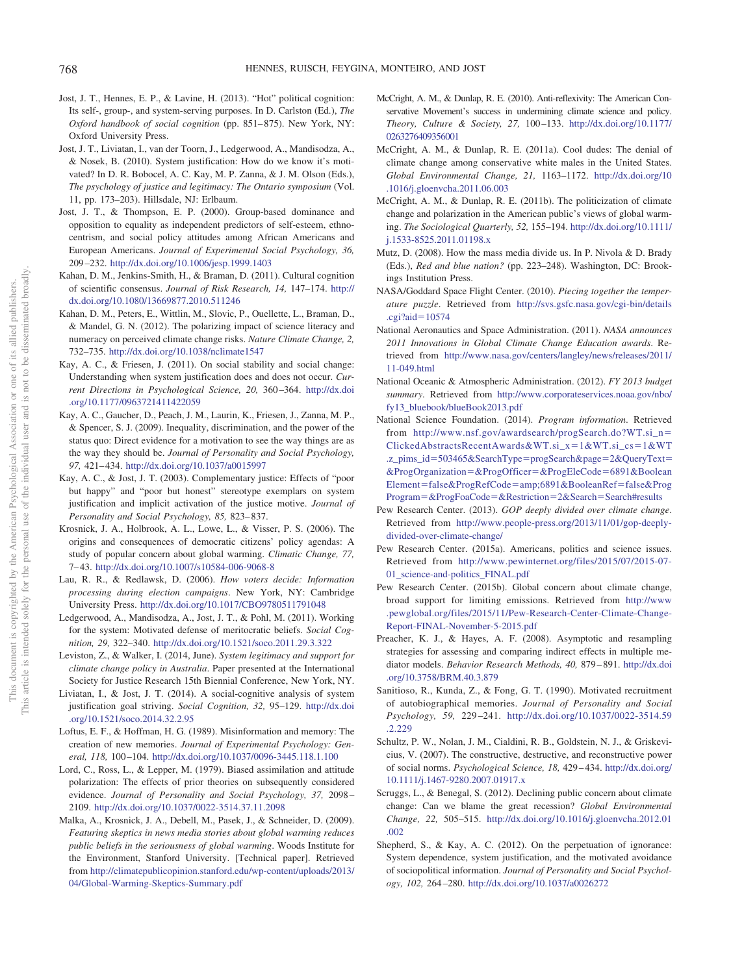- <span id="page-13-30"></span>Jost, J. T., Hennes, E. P., & Lavine, H. (2013). "Hot" political cognition: Its self-, group-, and system-serving purposes. In D. Carlston (Ed.), *The Oxford handbook of social cognition* (pp. 851-875). New York, NY: Oxford University Press.
- <span id="page-13-31"></span>Jost, J. T., Liviatan, I., van der Toorn, J., Ledgerwood, A., Mandisodza, A., & Nosek, B. (2010). System justification: How do we know it's motivated? In D. R. Bobocel, A. C. Kay, M. P. Zanna, & J. M. Olson (Eds.), *The psychology of justice and legitimacy: The Ontario symposium* (Vol. 11, pp. 173–203). Hillsdale, NJ: Erlbaum.
- <span id="page-13-21"></span>Jost, J. T., & Thompson, E. P. (2000). Group-based dominance and opposition to equality as independent predictors of self-esteem, ethnocentrism, and social policy attitudes among African Americans and European Americans. *Journal of Experimental Social Psychology, 36,* 209 –232. <http://dx.doi.org/10.1006/jesp.1999.1403>
- <span id="page-13-29"></span>Kahan, D. M., Jenkins-Smith, H., & Braman, D. (2011). Cultural cognition of scientific consensus. *Journal of Risk Research, 14,* 147–174. [http://](http://dx.doi.org/10.1080/13669877.2010.511246) [dx.doi.org/10.1080/13669877.2010.511246](http://dx.doi.org/10.1080/13669877.2010.511246)
- <span id="page-13-16"></span>Kahan, D. M., Peters, E., Wittlin, M., Slovic, P., Ouellette, L., Braman, D., & Mandel, G. N. (2012). The polarizing impact of science literacy and numeracy on perceived climate change risks. *Nature Climate Change, 2,* 732–735. <http://dx.doi.org/10.1038/nclimate1547>
- <span id="page-13-25"></span>Kay, A. C., & Friesen, J. (2011). On social stability and social change: Understanding when system justification does and does not occur. *Current Directions in Psychological Science, 20,* 360 –364. [http://dx.doi](http://dx.doi.org/10.1177/0963721411422059) [.org/10.1177/0963721411422059](http://dx.doi.org/10.1177/0963721411422059)
- <span id="page-13-24"></span>Kay, A. C., Gaucher, D., Peach, J. M., Laurin, K., Friesen, J., Zanna, M. P., & Spencer, S. J. (2009). Inequality, discrimination, and the power of the status quo: Direct evidence for a motivation to see the way things are as the way they should be. *Journal of Personality and Social Psychology, 97,* 421– 434. <http://dx.doi.org/10.1037/a0015997>
- <span id="page-13-22"></span>Kay, A. C., & Jost, J. T. (2003). Complementary justice: Effects of "poor but happy" and "poor but honest" stereotype exemplars on system justification and implicit activation of the justice motive. *Journal of Personality and Social Psychology, 85,* 823– 837.
- <span id="page-13-7"></span>Krosnick, J. A., Holbrook, A. L., Lowe, L., & Visser, P. S. (2006). The origins and consequences of democratic citizens' policy agendas: A study of popular concern about global warming. *Climatic Change, 77,* 7– 43. <http://dx.doi.org/10.1007/s10584-006-9068-8>
- <span id="page-13-9"></span>Lau, R. R., & Redlawsk, D. (2006). *How voters decide: Information processing during election campaigns*. New York, NY: Cambridge University Press. <http://dx.doi.org/10.1017/CBO9780511791048>
- <span id="page-13-13"></span>Ledgerwood, A., Mandisodza, A., Jost, J. T., & Pohl, M. (2011). Working for the system: Motivated defense of meritocratic beliefs. *Social Cognition, 29,* 322–340. <http://dx.doi.org/10.1521/soco.2011.29.3.322>
- <span id="page-13-12"></span>Leviston, Z., & Walker, I. (2014, June). *System legitimacy and support for climate change policy in Australia*. Paper presented at the International Society for Justice Research 15th Biennial Conference, New York, NY.
- <span id="page-13-19"></span>Liviatan, I., & Jost, J. T. (2014). A social-cognitive analysis of system justification goal striving. *Social Cognition, 32,* 95–129. [http://dx.doi](http://dx.doi.org/10.1521/soco.2014.32.2.95) [.org/10.1521/soco.2014.32.2.95](http://dx.doi.org/10.1521/soco.2014.32.2.95)
- <span id="page-13-18"></span>Loftus, E. F., & Hoffman, H. G. (1989). Misinformation and memory: The creation of new memories. *Journal of Experimental Psychology: General, 118,* 100 –104. <http://dx.doi.org/10.1037/0096-3445.118.1.100>
- <span id="page-13-11"></span>Lord, C., Ross, L., & Lepper, M. (1979). Biased assimilation and attitude polarization: The effects of prior theories on subsequently considered evidence. *Journal of Personality and Social Psychology, 37,* 2098 – 2109. <http://dx.doi.org/10.1037/0022-3514.37.11.2098>
- <span id="page-13-26"></span>Malka, A., Krosnick, J. A., Debell, M., Pasek, J., & Schneider, D. (2009). *Featuring skeptics in news media stories about global warming reduces public beliefs in the seriousness of global warming*. Woods Institute for the Environment, Stanford University. [Technical paper]. Retrieved from [http://climatepublicopinion.stanford.edu/wp-content/uploads/2013/](http://climatepublicopinion.stanford.edu/wp-content/uploads/2013/04/Global-Warming-Skeptics-Summary.pdf) [04/Global-Warming-Skeptics-Summary.pdf](http://climatepublicopinion.stanford.edu/wp-content/uploads/2013/04/Global-Warming-Skeptics-Summary.pdf)
- <span id="page-13-28"></span>McCright, A. M., & Dunlap, R. E. (2010). Anti-reflexivity: The American Conservative Movement's success in undermining climate science and policy. *Theory, Culture & Society, 27,* 100 –133. [http://dx.doi.org/10.1177/](http://dx.doi.org/10.1177/0263276409356001) [0263276409356001](http://dx.doi.org/10.1177/0263276409356001)
- <span id="page-13-20"></span>McCright, A. M., & Dunlap, R. E. (2011a). Cool dudes: The denial of climate change among conservative white males in the United States. *Global Environmental Change, 21,* 1163–1172. [http://dx.doi.org/10](http://dx.doi.org/10.1016/j.gloenvcha.2011.06.003) [.1016/j.gloenvcha.2011.06.003](http://dx.doi.org/10.1016/j.gloenvcha.2011.06.003)
- <span id="page-13-8"></span>McCright, A. M., & Dunlap, R. E. (2011b). The politicization of climate change and polarization in the American public's views of global warming. *The Sociological Quarterly, 52,* 155–194. [http://dx.doi.org/10.1111/](http://dx.doi.org/10.1111/j.1533-8525.2011.01198.x) [j.1533-8525.2011.01198.x](http://dx.doi.org/10.1111/j.1533-8525.2011.01198.x)
- <span id="page-13-14"></span>Mutz, D. (2008). How the mass media divide us. In P. Nivola & D. Brady (Eds.), *Red and blue nation?* (pp. 223–248). Washington, DC: Brookings Institution Press.
- <span id="page-13-27"></span>NASA/Goddard Space Flight Center. (2010). *Piecing together the temperature puzzle*. Retrieved from [http://svs.gsfc.nasa.gov/cgi-bin/details](http://svs.gsfc.nasa.gov/cgi-bin/details.cgi?aid=10574) [.cgi?aid](http://svs.gsfc.nasa.gov/cgi-bin/details.cgi?aid=10574)-10574
- <span id="page-13-3"></span>National Aeronautics and Space Administration. (2011). *NASA announces 2011 Innovations in Global Climate Change Education awards*. Retrieved from [http://www.nasa.gov/centers/langley/news/releases/2011/](http://www.nasa.gov/centers/langley/news/releases/2011/11-049.html) [11-049.html](http://www.nasa.gov/centers/langley/news/releases/2011/11-049.html)
- <span id="page-13-4"></span>National Oceanic & Atmospheric Administration. (2012). *FY 2013 budget summary*. Retrieved from [http://www.corporateservices.noaa.gov/nbo/](http://www.corporateservices.noaa.gov/nbo/fy13_bluebook/blueBook2013.pdf) [fy13\\_bluebook/blueBook2013.pdf](http://www.corporateservices.noaa.gov/nbo/fy13_bluebook/blueBook2013.pdf)
- <span id="page-13-5"></span>National Science Foundation. (2014). *Program information*. Retrieved from [http://www.nsf.gov/awardsearch/progSearch.do?WT.si\\_n](http://www.nsf.gov/awardsearch/progSearch.do?WT.si_n=ClickedAbstractsRecentAwards&WT.si_x=1&WT.si_cs=1&WT.z_pims_id=503465&SearchType=progSearch&page=2&QueryText=&ProgOrganization=&ProgOfficer=&ProgEleCode=6891&BooleanElement=false&ProgRefCode=6891&BooleanRef=false&ProgProgram=&ProgFoaCode=&Restriction=2&Search=Search%23results)- [ClickedAbstractsRecentAwards&WT.si\\_x](http://www.nsf.gov/awardsearch/progSearch.do?WT.si_n=ClickedAbstractsRecentAwards&WT.si_x=1&WT.si_cs=1&WT.z_pims_id=503465&SearchType=progSearch&page=2&QueryText=&ProgOrganization=&ProgOfficer=&ProgEleCode=6891&BooleanElement=false&ProgRefCode=6891&BooleanRef=false&ProgProgram=&ProgFoaCode=&Restriction=2&Search=Search%23results)=1&WT.si\_cs=1&WT .z\_pims\_id=[503465&SearchType](http://www.nsf.gov/awardsearch/progSearch.do?WT.si_n=ClickedAbstractsRecentAwards&WT.si_x=1&WT.si_cs=1&WT.z_pims_id=503465&SearchType=progSearch&page=2&QueryText=&ProgOrganization=&ProgOfficer=&ProgEleCode=6891&BooleanElement=false&ProgRefCode=6891&BooleanRef=false&ProgProgram=&ProgFoaCode=&Restriction=2&Search=Search%23results)=progSearch&page=2&QueryText= [&ProgOrganization](http://www.nsf.gov/awardsearch/progSearch.do?WT.si_n=ClickedAbstractsRecentAwards&WT.si_x=1&WT.si_cs=1&WT.z_pims_id=503465&SearchType=progSearch&page=2&QueryText=&ProgOrganization=&ProgOfficer=&ProgEleCode=6891&BooleanElement=false&ProgRefCode=6891&BooleanRef=false&ProgProgram=&ProgFoaCode=&Restriction=2&Search=Search%23results)-&ProgOfficer-&ProgEleCode-6891&Boolean Element=false&ProgRefCode=[amp;6891&BooleanRef](http://www.nsf.gov/awardsearch/progSearch.do?WT.si_n=ClickedAbstractsRecentAwards&WT.si_x=1&WT.si_cs=1&WT.z_pims_id=503465&SearchType=progSearch&page=2&QueryText=&ProgOrganization=&ProgOfficer=&ProgEleCode=6891&BooleanElement=false&ProgRefCode=6891&BooleanRef=false&ProgProgram=&ProgFoaCode=&Restriction=2&Search=Search%23results)=false&Prog Program=[&ProgFoaCode](http://www.nsf.gov/awardsearch/progSearch.do?WT.si_n=ClickedAbstractsRecentAwards&WT.si_x=1&WT.si_cs=1&WT.z_pims_id=503465&SearchType=progSearch&page=2&QueryText=&ProgOrganization=&ProgOfficer=&ProgEleCode=6891&BooleanElement=false&ProgRefCode=6891&BooleanRef=false&ProgProgram=&ProgFoaCode=&Restriction=2&Search=Search%23results)=&Restriction=2&Search=Search#results
- <span id="page-13-2"></span>Pew Research Center. (2013). *GOP deeply divided over climate change*. Retrieved from [http://www.people-press.org/2013/11/01/gop-deeply](http://www.people-press.org/2013/11/01/gop-deeply-divided-over-climate-change/)[divided-over-climate-change/](http://www.people-press.org/2013/11/01/gop-deeply-divided-over-climate-change/)
- <span id="page-13-0"></span>Pew Research Center. (2015a). Americans, politics and science issues. Retrieved from [http://www.pewinternet.org/files/2015/07/2015-07-](http://www.pewinternet.org/files/2015/07/2015-07-01_science-and-politics_FINAL.pdf) [01\\_science-and-politics\\_FINAL.pdf](http://www.pewinternet.org/files/2015/07/2015-07-01_science-and-politics_FINAL.pdf)
- <span id="page-13-1"></span>Pew Research Center. (2015b). Global concern about climate change, broad support for limiting emissions. Retrieved from [http://www](http://www.pewglobal.org/files/2015/11/Pew-Research-Center-Climate-Change-Report-FINAL-November-5-2015.pdf) [.pewglobal.org/files/2015/11/Pew-Research-Center-Climate-Change-](http://www.pewglobal.org/files/2015/11/Pew-Research-Center-Climate-Change-Report-FINAL-November-5-2015.pdf)[Report-FINAL-November-5-2015.pdf](http://www.pewglobal.org/files/2015/11/Pew-Research-Center-Climate-Change-Report-FINAL-November-5-2015.pdf)
- <span id="page-13-23"></span>Preacher, K. J., & Hayes, A. F. (2008). Asymptotic and resampling strategies for assessing and comparing indirect effects in multiple mediator models. *Behavior Research Methods, 40,* 879 – 891. [http://dx.doi](http://dx.doi.org/10.3758/BRM.40.3.879) [.org/10.3758/BRM.40.3.879](http://dx.doi.org/10.3758/BRM.40.3.879)
- <span id="page-13-17"></span>Sanitioso, R., Kunda, Z., & Fong, G. T. (1990). Motivated recruitment of autobiographical memories. *Journal of Personality and Social Psychology, 59,* 229 –241. [http://dx.doi.org/10.1037/0022-3514.59](http://dx.doi.org/10.1037/0022-3514.59.2.229) [.2.229](http://dx.doi.org/10.1037/0022-3514.59.2.229)
- <span id="page-13-15"></span>Schultz, P. W., Nolan, J. M., Cialdini, R. B., Goldstein, N. J., & Griskevicius, V. (2007). The constructive, destructive, and reconstructive power of social norms. *Psychological Science, 18,* 429 – 434. [http://dx.doi.org/](http://dx.doi.org/10.1111/j.1467-9280.2007.01917.x) [10.1111/j.1467-9280.2007.01917.x](http://dx.doi.org/10.1111/j.1467-9280.2007.01917.x)
- <span id="page-13-6"></span>Scruggs, L., & Benegal, S. (2012). Declining public concern about climate change: Can we blame the great recession? *Global Environmental Change, 22,* 505–515. [http://dx.doi.org/10.1016/j.gloenvcha.2012.01](http://dx.doi.org/10.1016/j.gloenvcha.2012.01.002) [.002](http://dx.doi.org/10.1016/j.gloenvcha.2012.01.002)
- <span id="page-13-10"></span>Shepherd, S., & Kay, A. C. (2012). On the perpetuation of ignorance: System dependence, system justification, and the motivated avoidance of sociopolitical information. *Journal of Personality and Social Psychology, 102,* 264 –280. <http://dx.doi.org/10.1037/a0026272>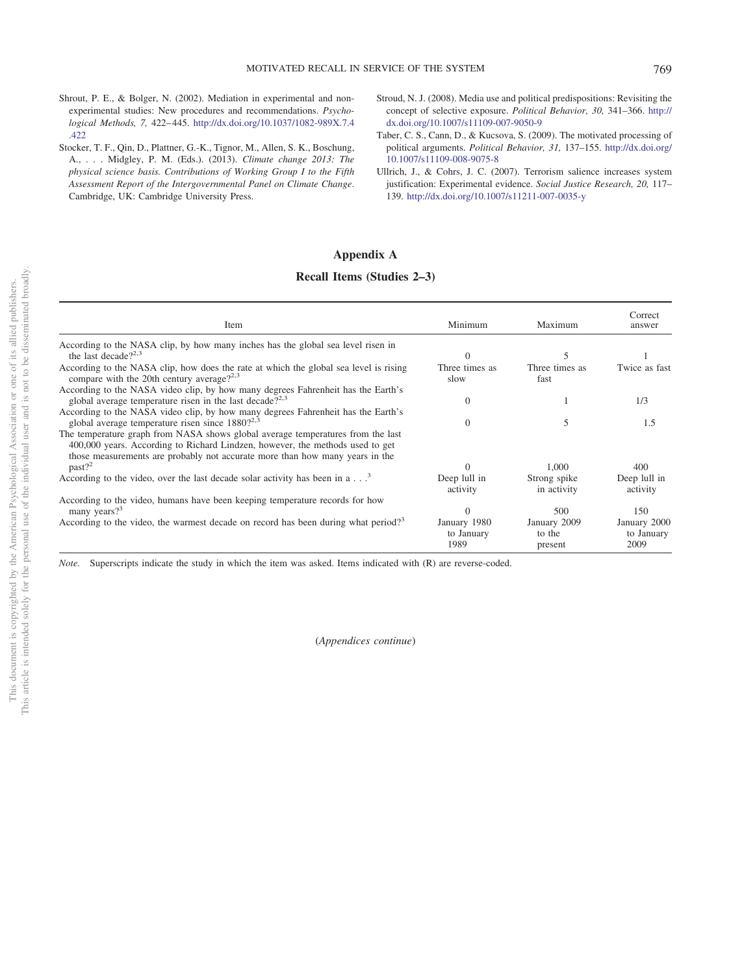- <span id="page-14-4"></span>Shrout, P. E., & Bolger, N. (2002). Mediation in experimental and nonexperimental studies: New procedures and recommendations. *Psychological Methods, 7,* 422– 445. [http://dx.doi.org/10.1037/1082-989X.7.4](http://dx.doi.org/10.1037/1082-989X.7.4.422) [.422](http://dx.doi.org/10.1037/1082-989X.7.4.422)
- <span id="page-14-0"></span>Stocker, T. F., Qin, D., Plattner, G.-K., Tignor, M., Allen, S. K., Boschung, A., . . . Midgley, P. M. (Eds.). (2013). *Climate change 2013: The physical science basis. Contributions of Working Group I to the Fifth Assessment Report of the Intergovernmental Panel on Climate Change*. Cambridge, UK: Cambridge University Press.
- <span id="page-14-1"></span>Stroud, N. J. (2008). Media use and political predispositions: Revisiting the concept of selective exposure. *Political Behavior, 30,* 341–366. [http://](http://dx.doi.org/10.1007/s11109-007-9050-9) [dx.doi.org/10.1007/s11109-007-9050-9](http://dx.doi.org/10.1007/s11109-007-9050-9)
- <span id="page-14-3"></span>Taber, C. S., Cann, D., & Kucsova, S. (2009). The motivated processing of political arguments. *Political Behavior, 31,* 137–155. [http://dx.doi.org/](http://dx.doi.org/10.1007/s11109-008-9075-8) [10.1007/s11109-008-9075-8](http://dx.doi.org/10.1007/s11109-008-9075-8)
- <span id="page-14-2"></span>Ullrich, J., & Cohrs, J. C. (2007). Terrorism salience increases system justification: Experimental evidence. *Social Justice Research, 20,* 117– 139. <http://dx.doi.org/10.1007/s11211-007-0035-y>

# <span id="page-14-5"></span>**Appendix A**

# **Recall Items (Studies 2–3)**

| Item                                                                                                                                                                                                                                             | Minimum                            | Maximum                           | Correct<br>answer                  |
|--------------------------------------------------------------------------------------------------------------------------------------------------------------------------------------------------------------------------------------------------|------------------------------------|-----------------------------------|------------------------------------|
| According to the NASA clip, by how many inches has the global sea level risen in                                                                                                                                                                 |                                    |                                   |                                    |
| the last decade $2^{2,3}$                                                                                                                                                                                                                        | $\Omega$                           | 5                                 |                                    |
| According to the NASA clip, how does the rate at which the global sea level is rising<br>compare with the 20th century average? <sup>2,3</sup>                                                                                                   | Three times as<br>slow             | Three times as<br>fast            | Twice as fast                      |
| According to the NASA video clip, by how many degrees Fahrenheit has the Earth's<br>global average temperature risen in the last decade? <sup>2,3</sup>                                                                                          | $\theta$                           |                                   | 1/3                                |
| According to the NASA video clip, by how many degrees Fahrenheit has the Earth's<br>global average temperature risen since $1880$ ? <sup>2,3</sup>                                                                                               | $\Omega$                           | ኀ                                 | 1.5                                |
| The temperature graph from NASA shows global average temperatures from the last<br>400,000 years. According to Richard Lindzen, however, the methods used to get<br>those measurements are probably not accurate more than how many years in the |                                    |                                   |                                    |
| past?                                                                                                                                                                                                                                            | $\Omega$                           | 1.000                             | 400                                |
| According to the video, over the last decade solar activity has been in a $\ldots$ <sup>3</sup>                                                                                                                                                  | Deep lull in<br>activity           | Strong spike<br>in activity       | Deep lull in<br>activity           |
| According to the video, humans have been keeping temperature records for how<br>many years? $3^3$                                                                                                                                                |                                    | 500                               | 150                                |
| According to the video, the warmest decade on record has been during what period? <sup>3</sup>                                                                                                                                                   | January 1980<br>to January<br>1989 | January 2009<br>to the<br>present | January 2000<br>to January<br>2009 |

*Note.* Superscripts indicate the study in which the item was asked. Items indicated with (R) are reverse-coded.

(*Appendices continue*)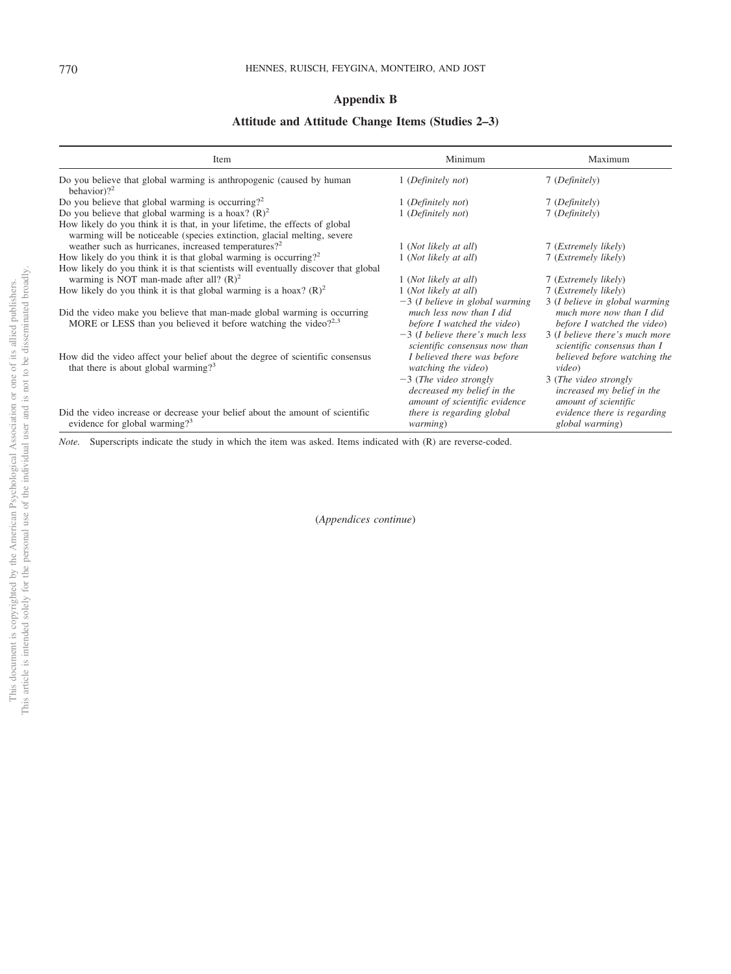# <span id="page-15-0"></span>**Appendix B**

# **Attitude and Attitude Change Items (Studies 2–3)**

| Item                                                                                                                                                    | Minimum                                                                                                                           | Maximum                                                                                                                     |
|---------------------------------------------------------------------------------------------------------------------------------------------------------|-----------------------------------------------------------------------------------------------------------------------------------|-----------------------------------------------------------------------------------------------------------------------------|
| Do you believe that global warming is anthropogenic (caused by human<br>behavior)? <sup>2</sup>                                                         | 1 (Definitely not)                                                                                                                | 7 (Definitely)                                                                                                              |
| Do you believe that global warming is occurring? <sup>2</sup>                                                                                           | 1 (Definitely not)                                                                                                                | 7 (Definitely)                                                                                                              |
| Do you believe that global warming is a hoax? $(R)^2$                                                                                                   | 1 (Definitely not)                                                                                                                | 7 (Definitely)                                                                                                              |
| How likely do you think it is that, in your lifetime, the effects of global<br>warming will be noticeable (species extinction, glacial melting, severe  |                                                                                                                                   |                                                                                                                             |
| weather such as hurricanes, increased temperatures? <sup>2</sup>                                                                                        | 1 (Not likely at all)                                                                                                             | 7 ( <i>Extremely likely</i> )                                                                                               |
| How likely do you think it is that global warming is occurring? <sup>2</sup>                                                                            | 1 (Not likely at all)                                                                                                             | 7 ( <i>Extremely likely</i> )                                                                                               |
| How likely do you think it is that scientists will eventually discover that global                                                                      |                                                                                                                                   |                                                                                                                             |
| warming is NOT man-made after all? $(R)^2$                                                                                                              | 1 (Not likely at all)                                                                                                             | 7 ( <i>Extremely likely</i> )                                                                                               |
| How likely do you think it is that global warming is a hoax? $(R)^2$                                                                                    | 1 (Not likely at all)                                                                                                             | 7 (Extremely likely)                                                                                                        |
| Did the video make you believe that man-made global warming is occurring<br>MORE or LESS than you believed it before watching the video? <sup>2,3</sup> | $-3$ (I believe in global warming<br>much less now than I did<br>before I watched the video)<br>$-3$ (I believe there's much less | 3 (I believe in global warming<br>much more now than I did<br>before I watched the video)<br>3 (I believe there's much more |
| How did the video affect your belief about the degree of scientific consensus<br>that there is about global warming? <sup>3</sup>                       | scientific consensus now than<br>I believed there was before<br>watching the video)<br>$-3$ (The video strongly                   | scientific consensus than I<br>believed before watching the<br>video)<br>3 (The video strongly                              |
| Did the video increase or decrease your belief about the amount of scientific<br>evidence for global warming? <sup>3</sup>                              | decreased my belief in the<br>amount of scientific evidence<br>there is regarding global<br><i>warming</i> )                      | increased my belief in the<br>amount of scientific<br>evidence there is regarding<br>global warming)                        |

*Note.* Superscripts indicate the study in which the item was asked. Items indicated with (R) are reverse-coded.

(*Appendices continue*)